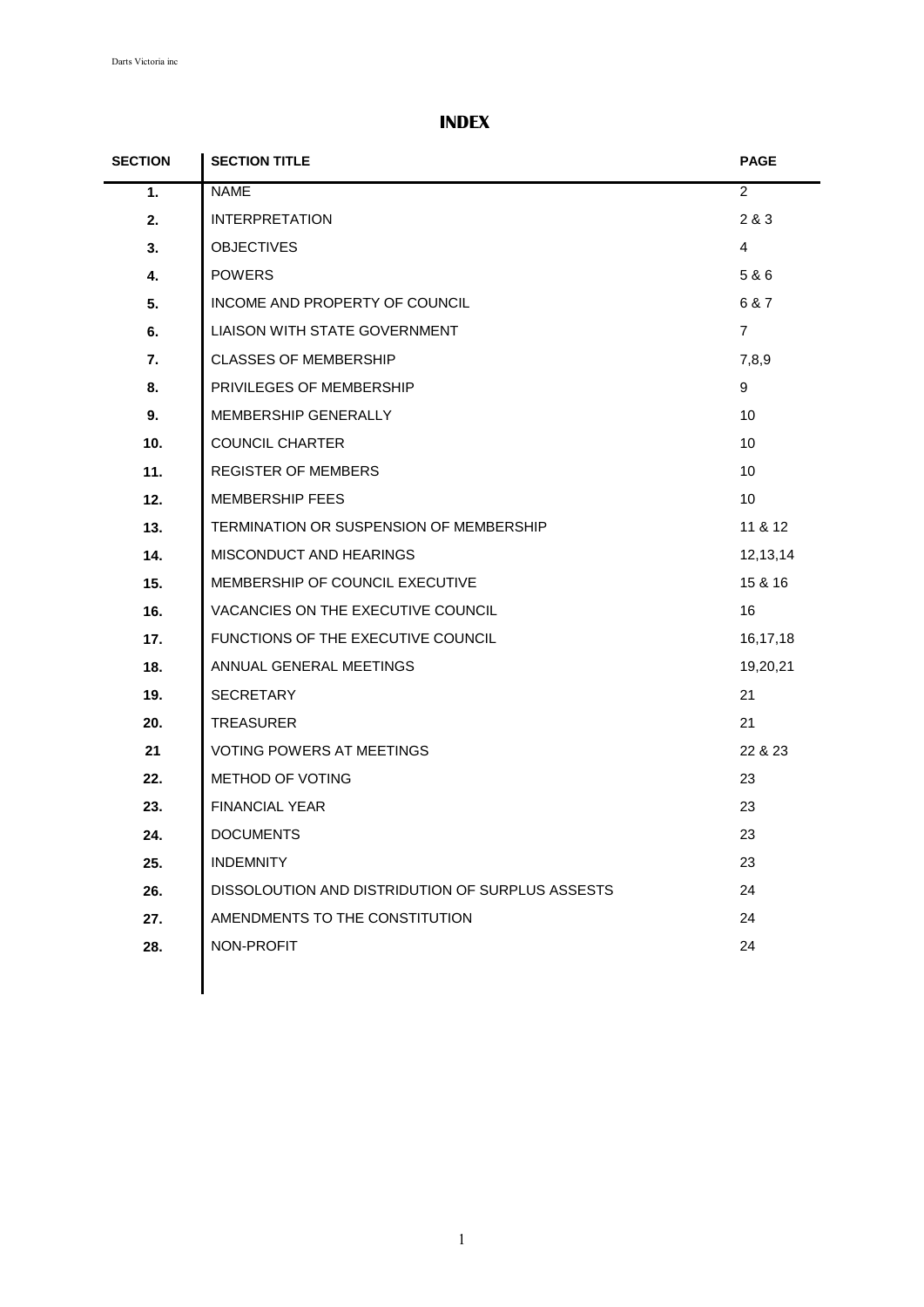# **INDEX**

| <b>SECTION</b> | <b>SECTION TITLE</b>                             | <b>PAGE</b>    |
|----------------|--------------------------------------------------|----------------|
| 1.             | <b>NAME</b>                                      | $\overline{2}$ |
| 2.             | <b>INTERPRETATION</b>                            | 2 & 3          |
| 3.             | <b>OBJECTIVES</b>                                | $\overline{4}$ |
| 4.             | <b>POWERS</b>                                    | 5 & 6          |
| 5.             | INCOME AND PROPERTY OF COUNCIL                   | 6 & 7          |
| 6.             | <b>LIAISON WITH STATE GOVERNMENT</b>             | $\overline{7}$ |
| 7.             | <b>CLASSES OF MEMBERSHIP</b>                     | 7,8,9          |
| 8.             | PRIVILEGES OF MEMBERSHIP                         | 9              |
| 9.             | MEMBERSHIP GENERALLY                             | 10             |
| 10.            | <b>COUNCIL CHARTER</b>                           | 10             |
| 11.            | <b>REGISTER OF MEMBERS</b>                       | 10             |
| 12.            | <b>MEMBERSHIP FEES</b>                           | 10             |
| 13.            | TERMINATION OR SUSPENSION OF MEMBERSHIP          | 11 & 12        |
| 14.            | MISCONDUCT AND HEARINGS                          | 12,13,14       |
| 15.            | MEMBERSHIP OF COUNCIL EXECUTIVE                  | 15 & 16        |
| 16.            | VACANCIES ON THE EXECUTIVE COUNCIL               | 16             |
| 17.            | FUNCTIONS OF THE EXECUTIVE COUNCIL               | 16,17,18       |
| 18.            | ANNUAL GENERAL MEETINGS                          | 19,20,21       |
| 19.            | <b>SECRETARY</b>                                 | 21             |
| 20.            | <b>TREASURER</b>                                 | 21             |
| 21             | <b>VOTING POWERS AT MEETINGS</b>                 | 22 & 23        |
| 22.            | METHOD OF VOTING                                 | 23             |
| 23.            | <b>FINANCIAL YEAR</b>                            | 23             |
| 24.            | <b>DOCUMENTS</b>                                 | 23             |
| 25.            | <b>INDEMNITY</b>                                 | 23             |
| 26.            | DISSOLOUTION AND DISTRIDUTION OF SURPLUS ASSESTS | 24             |
| 27.            | AMENDMENTS TO THE CONSTITUTION                   | 24             |
| 28.            | NON-PROFIT                                       | 24             |
|                |                                                  |                |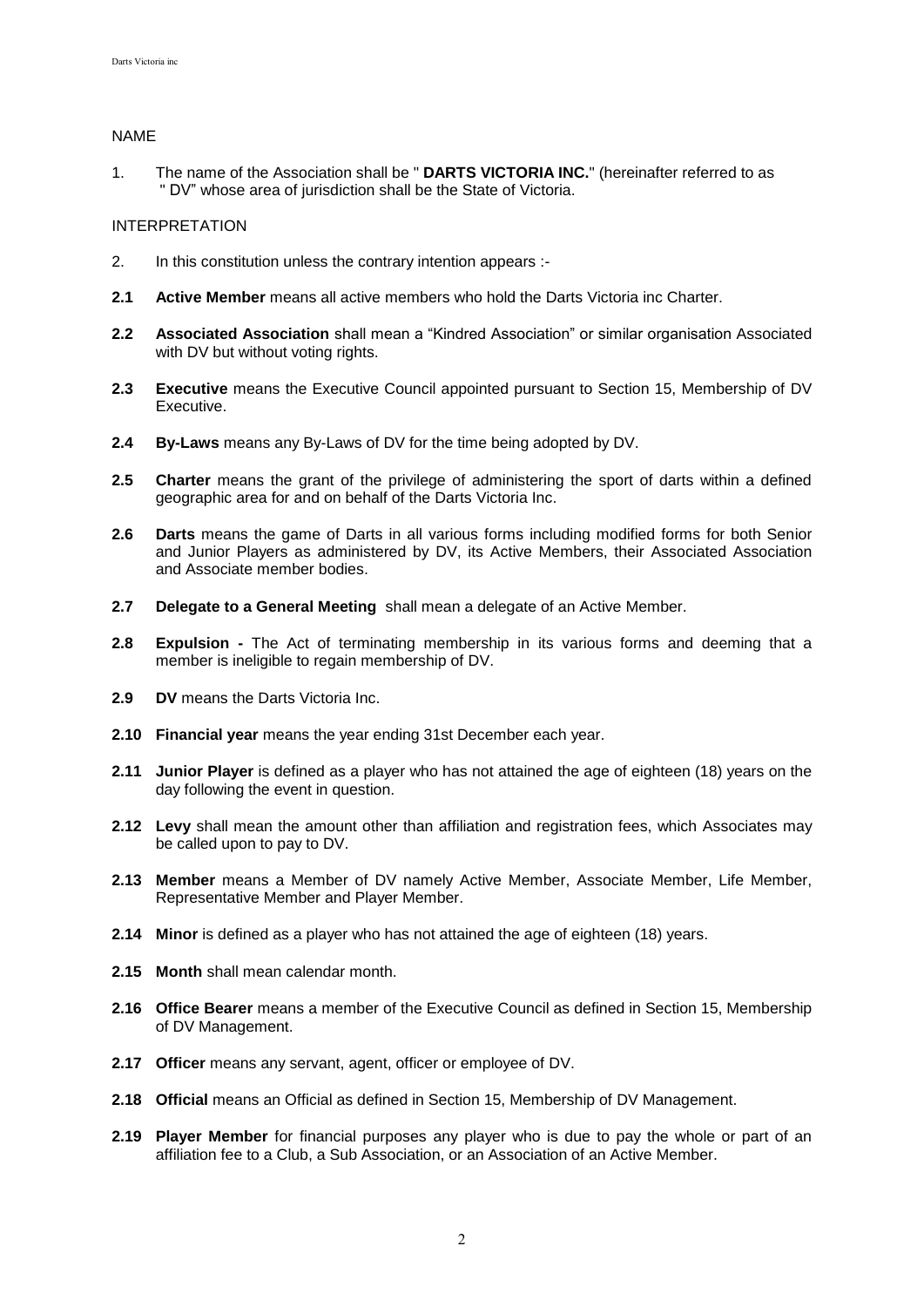## NAME

1. The name of the Association shall be " **DARTS VICTORIA INC.**" (hereinafter referred to as " DV" whose area of jurisdiction shall be the State of Victoria.

### INTERPRETATION

- 2. In this constitution unless the contrary intention appears :-
- **2.1 Active Member** means all active members who hold the Darts Victoria inc Charter.
- **2.2 Associated Association** shall mean a "Kindred Association" or similar organisation Associated with DV but without voting rights.
- **2.3 Executive** means the Executive Council appointed pursuant to Section 15, Membership of DV Executive.
- **2.4 By-Laws** means any By-Laws of DV for the time being adopted by DV.
- **2.5 Charter** means the grant of the privilege of administering the sport of darts within a defined geographic area for and on behalf of the Darts Victoria Inc.
- **2.6 Darts** means the game of Darts in all various forms including modified forms for both Senior and Junior Players as administered by DV, its Active Members, their Associated Association and Associate member bodies.
- **2.7 Delegate to a General Meeting** shall mean a delegate of an Active Member.
- **2.8 Expulsion -** The Act of terminating membership in its various forms and deeming that a member is ineligible to regain membership of DV.
- **2.9 DV** means the Darts Victoria Inc.
- **2.10 Financial year** means the year ending 31st December each year.
- **2.11 Junior Player** is defined as a player who has not attained the age of eighteen (18) years on the day following the event in question.
- **2.12 Levy** shall mean the amount other than affiliation and registration fees, which Associates may be called upon to pay to DV.
- **2.13 Member** means a Member of DV namely Active Member, Associate Member, Life Member, Representative Member and Player Member.
- **2.14 Minor** is defined as a player who has not attained the age of eighteen (18) years.
- **2.15 Month** shall mean calendar month.
- **2.16 Office Bearer** means a member of the Executive Council as defined in Section 15, Membership of DV Management.
- **2.17 Officer** means any servant, agent, officer or employee of DV.
- **2.18 Official** means an Official as defined in Section 15, Membership of DV Management.
- **2.19 Player Member** for financial purposes any player who is due to pay the whole or part of an affiliation fee to a Club, a Sub Association, or an Association of an Active Member.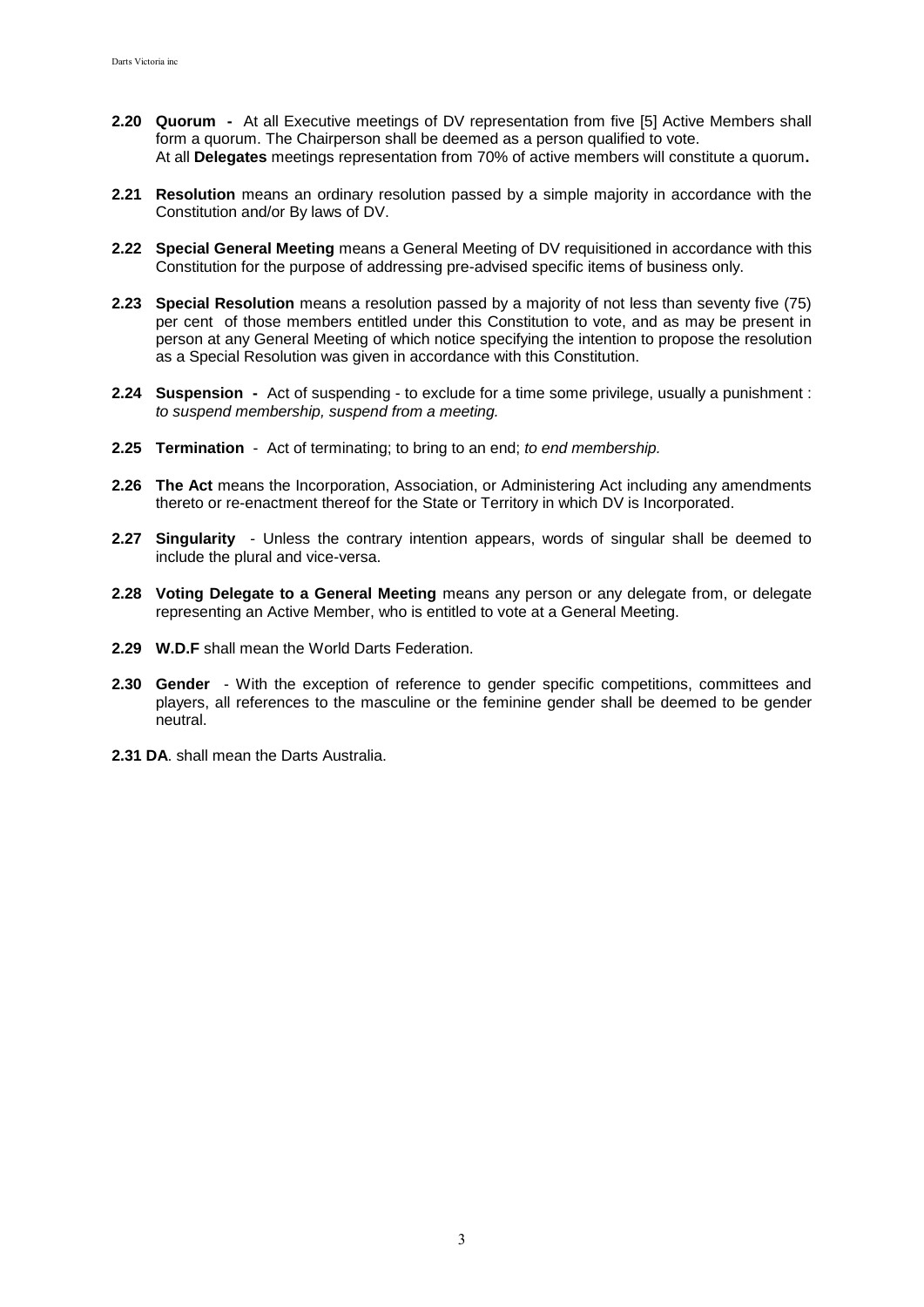- **2.20 Quorum** At all Executive meetings of DV representation from five [5] Active Members shall form a quorum. The Chairperson shall be deemed as a person qualified to vote. At all **Delegates** meetings representation from 70% of active members will constitute a quorum**.**
- **2.21 Resolution** means an ordinary resolution passed by a simple majority in accordance with the Constitution and/or By laws of DV.
- **2.22 Special General Meeting** means a General Meeting of DV requisitioned in accordance with this Constitution for the purpose of addressing pre-advised specific items of business only.
- **2.23 Special Resolution** means a resolution passed by a majority of not less than seventy five (75) per cent of those members entitled under this Constitution to vote, and as may be present in person at any General Meeting of which notice specifying the intention to propose the resolution as a Special Resolution was given in accordance with this Constitution.
- **2.24 Suspension -** Act of suspending to exclude for a time some privilege, usually a punishment : *to suspend membership, suspend from a meeting.*
- **2.25 Termination** Act of terminating; to bring to an end; *to end membership.*
- **2.26 The Act** means the Incorporation, Association, or Administering Act including any amendments thereto or re-enactment thereof for the State or Territory in which DV is Incorporated.
- **2.27 Singularity** Unless the contrary intention appears, words of singular shall be deemed to include the plural and vice-versa.
- **2.28 Voting Delegate to a General Meeting** means any person or any delegate from, or delegate representing an Active Member, who is entitled to vote at a General Meeting.
- **2.29 W.D.F** shall mean the World Darts Federation.
- **2.30 Gender** With the exception of reference to gender specific competitions, committees and players, all references to the masculine or the feminine gender shall be deemed to be gender neutral.
- **2.31 DA**. shall mean the Darts Australia.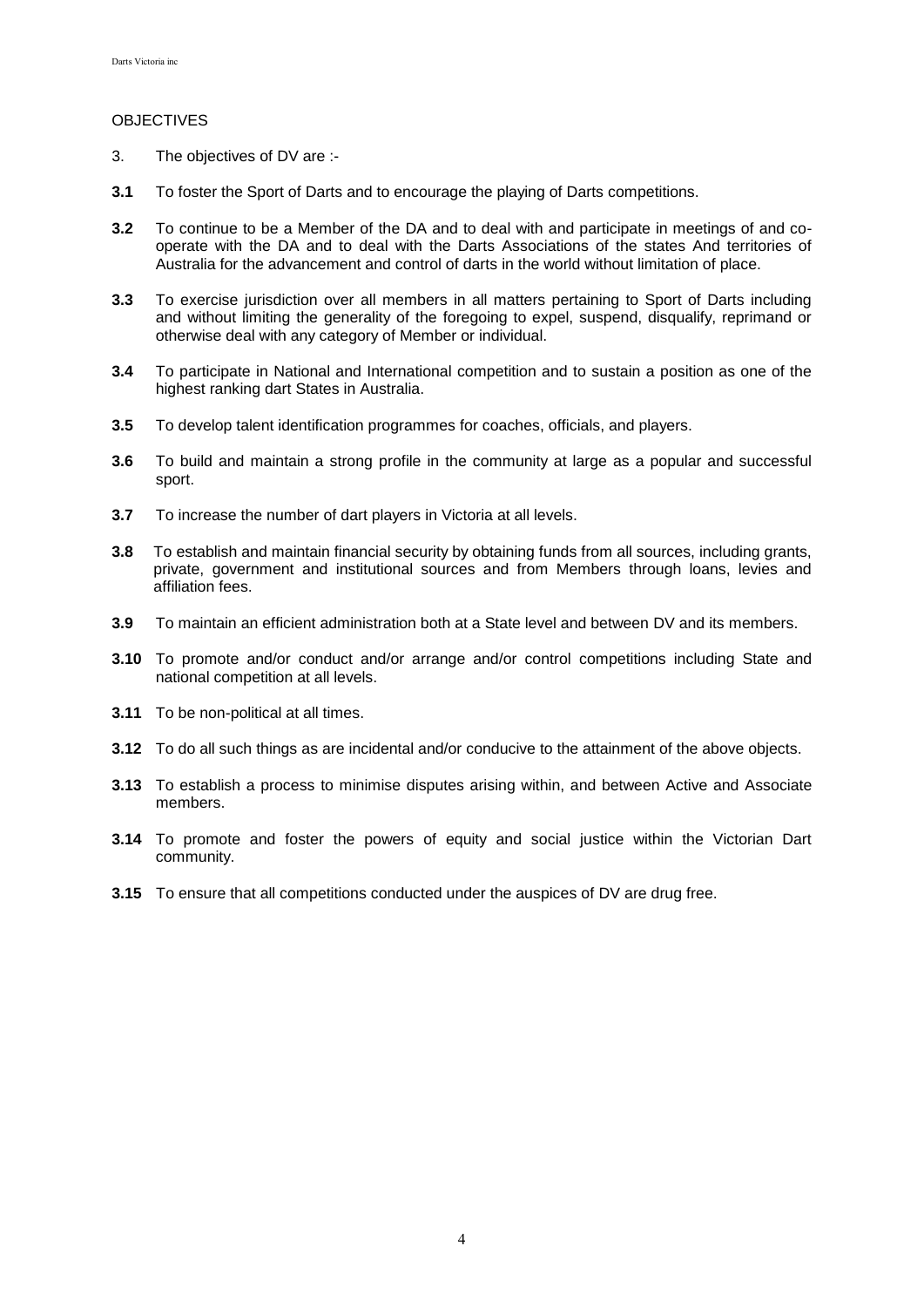# **OBJECTIVES**

- 3. The objectives of DV are :-
- **3.1** To foster the Sport of Darts and to encourage the playing of Darts competitions.
- **3.2** To continue to be a Member of the DA and to deal with and participate in meetings of and cooperate with the DA and to deal with the Darts Associations of the states And territories of Australia for the advancement and control of darts in the world without limitation of place.
- **3.3** To exercise jurisdiction over all members in all matters pertaining to Sport of Darts including and without limiting the generality of the foregoing to expel, suspend, disqualify, reprimand or otherwise deal with any category of Member or individual.
- **3.4** To participate in National and International competition and to sustain a position as one of the highest ranking dart States in Australia.
- **3.5** To develop talent identification programmes for coaches, officials, and players.
- **3.6** To build and maintain a strong profile in the community at large as a popular and successful sport.
- **3.7** To increase the number of dart players in Victoria at all levels.
- **3.8** To establish and maintain financial security by obtaining funds from all sources, including grants, private, government and institutional sources and from Members through loans, levies and affiliation fees.
- **3.9** To maintain an efficient administration both at a State level and between DV and its members.
- **3.10** To promote and/or conduct and/or arrange and/or control competitions including State and national competition at all levels.
- **3.11** To be non-political at all times.
- **3.12** To do all such things as are incidental and/or conducive to the attainment of the above objects.
- **3.13** To establish a process to minimise disputes arising within, and between Active and Associate members.
- **3.14** To promote and foster the powers of equity and social justice within the Victorian Dart community.
- **3.15** To ensure that all competitions conducted under the auspices of DV are drug free.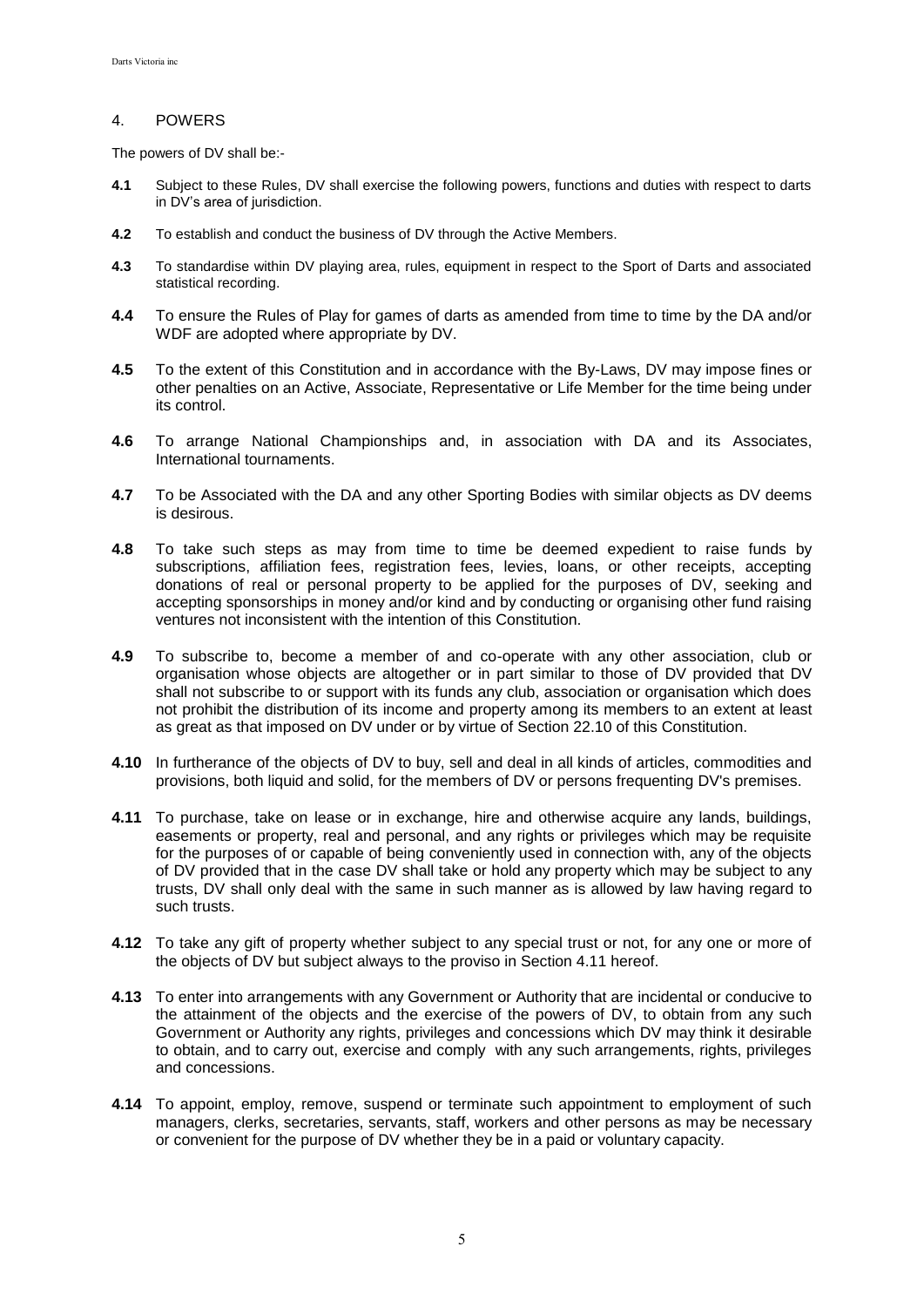## 4. POWERS

The powers of DV shall be:-

- **4.1** Subject to these Rules, DV shall exercise the following powers, functions and duties with respect to darts in DV's area of jurisdiction.
- **4.2** To establish and conduct the business of DV through the Active Members.
- **4.3** To standardise within DV playing area, rules, equipment in respect to the Sport of Darts and associated statistical recording.
- **4.4** To ensure the Rules of Play for games of darts as amended from time to time by the DA and/or WDF are adopted where appropriate by DV.
- **4.5** To the extent of this Constitution and in accordance with the By-Laws, DV may impose fines or other penalties on an Active, Associate, Representative or Life Member for the time being under its control.
- **4.6** To arrange National Championships and, in association with DA and its Associates, International tournaments.
- **4.7** To be Associated with the DA and any other Sporting Bodies with similar objects as DV deems is desirous.
- **4.8** To take such steps as may from time to time be deemed expedient to raise funds by subscriptions, affiliation fees, registration fees, levies, loans, or other receipts, accepting donations of real or personal property to be applied for the purposes of DV, seeking and accepting sponsorships in money and/or kind and by conducting or organising other fund raising ventures not inconsistent with the intention of this Constitution.
- **4.9** To subscribe to, become a member of and co-operate with any other association, club or organisation whose objects are altogether or in part similar to those of DV provided that DV shall not subscribe to or support with its funds any club, association or organisation which does not prohibit the distribution of its income and property among its members to an extent at least as great as that imposed on DV under or by virtue of Section 22.10 of this Constitution.
- **4.10** In furtherance of the objects of DV to buy, sell and deal in all kinds of articles, commodities and provisions, both liquid and solid, for the members of DV or persons frequenting DV's premises.
- **4.11** To purchase, take on lease or in exchange, hire and otherwise acquire any lands, buildings, easements or property, real and personal, and any rights or privileges which may be requisite for the purposes of or capable of being conveniently used in connection with, any of the objects of DV provided that in the case DV shall take or hold any property which may be subject to any trusts, DV shall only deal with the same in such manner as is allowed by law having regard to such trusts.
- **4.12** To take any gift of property whether subject to any special trust or not, for any one or more of the objects of DV but subject always to the proviso in Section 4.11 hereof.
- **4.13** To enter into arrangements with any Government or Authority that are incidental or conducive to the attainment of the objects and the exercise of the powers of DV, to obtain from any such Government or Authority any rights, privileges and concessions which DV may think it desirable to obtain, and to carry out, exercise and comply with any such arrangements, rights, privileges and concessions.
- **4.14** To appoint, employ, remove, suspend or terminate such appointment to employment of such managers, clerks, secretaries, servants, staff, workers and other persons as may be necessary or convenient for the purpose of DV whether they be in a paid or voluntary capacity.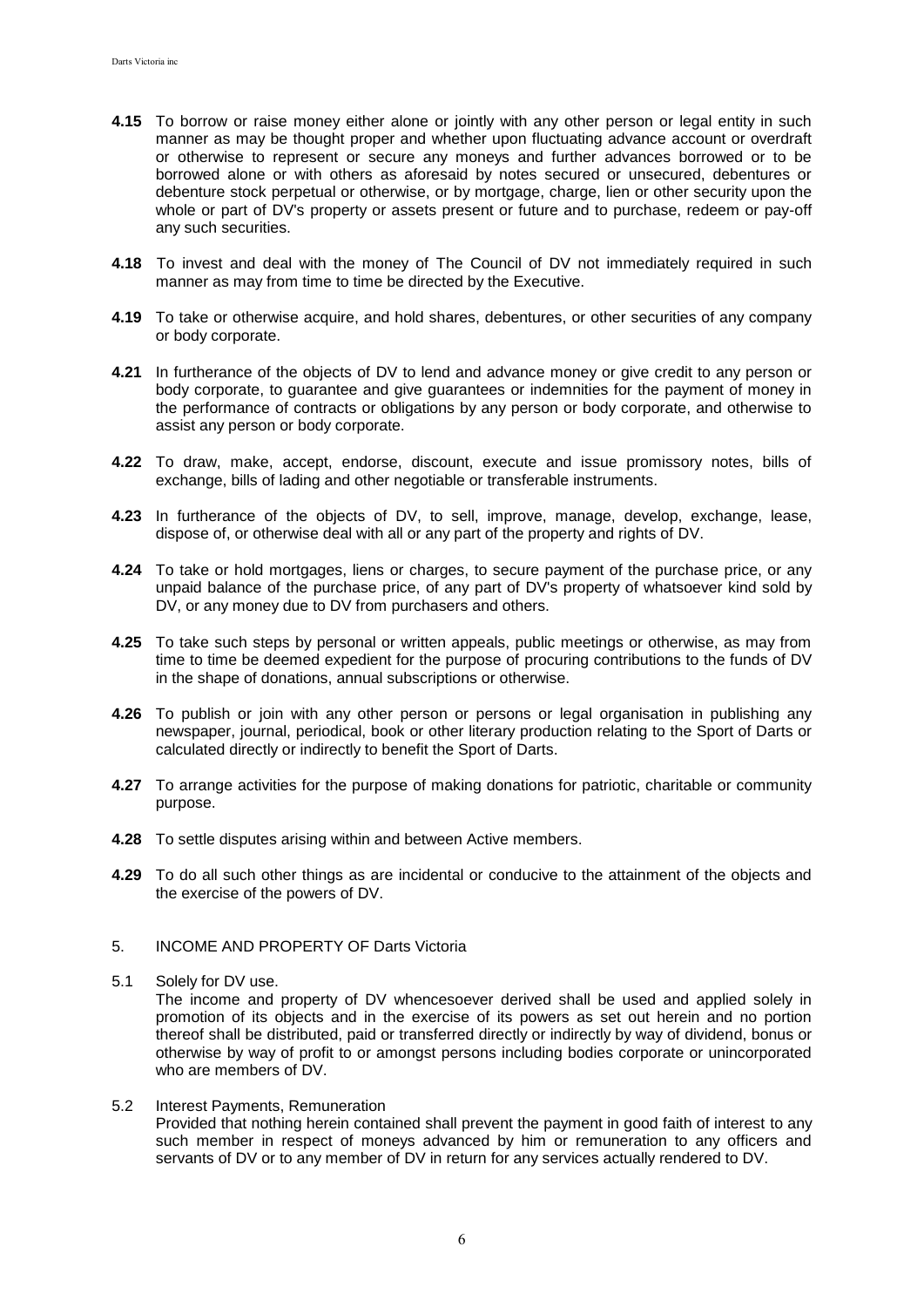- **4.15** To borrow or raise money either alone or jointly with any other person or legal entity in such manner as may be thought proper and whether upon fluctuating advance account or overdraft or otherwise to represent or secure any moneys and further advances borrowed or to be borrowed alone or with others as aforesaid by notes secured or unsecured, debentures or debenture stock perpetual or otherwise, or by mortgage, charge, lien or other security upon the whole or part of DV's property or assets present or future and to purchase, redeem or pay-off any such securities.
- **4.18** To invest and deal with the money of The Council of DV not immediately required in such manner as may from time to time be directed by the Executive.
- **4.19** To take or otherwise acquire, and hold shares, debentures, or other securities of any company or body corporate.
- **4.21** In furtherance of the objects of DV to lend and advance money or give credit to any person or body corporate, to guarantee and give guarantees or indemnities for the payment of money in the performance of contracts or obligations by any person or body corporate, and otherwise to assist any person or body corporate.
- **4.22** To draw, make, accept, endorse, discount, execute and issue promissory notes, bills of exchange, bills of lading and other negotiable or transferable instruments.
- **4.23** In furtherance of the objects of DV, to sell, improve, manage, develop, exchange, lease, dispose of, or otherwise deal with all or any part of the property and rights of DV.
- **4.24** To take or hold mortgages, liens or charges, to secure payment of the purchase price, or any unpaid balance of the purchase price, of any part of DV's property of whatsoever kind sold by DV, or any money due to DV from purchasers and others.
- **4.25** To take such steps by personal or written appeals, public meetings or otherwise, as may from time to time be deemed expedient for the purpose of procuring contributions to the funds of DV in the shape of donations, annual subscriptions or otherwise.
- **4.26** To publish or join with any other person or persons or legal organisation in publishing any newspaper, journal, periodical, book or other literary production relating to the Sport of Darts or calculated directly or indirectly to benefit the Sport of Darts.
- **4.27** To arrange activities for the purpose of making donations for patriotic, charitable or community purpose.
- **4.28** To settle disputes arising within and between Active members.
- **4.29** To do all such other things as are incidental or conducive to the attainment of the objects and the exercise of the powers of DV.
- 5. INCOME AND PROPERTY OF Darts Victoria
- 5.1 Solely for DV use.

The income and property of DV whencesoever derived shall be used and applied solely in promotion of its objects and in the exercise of its powers as set out herein and no portion thereof shall be distributed, paid or transferred directly or indirectly by way of dividend, bonus or otherwise by way of profit to or amongst persons including bodies corporate or unincorporated who are members of DV.

5.2 Interest Payments, Remuneration Provided that nothing herein contained shall prevent the payment in good faith of interest to any such member in respect of moneys advanced by him or remuneration to any officers and servants of DV or to any member of DV in return for any services actually rendered to DV.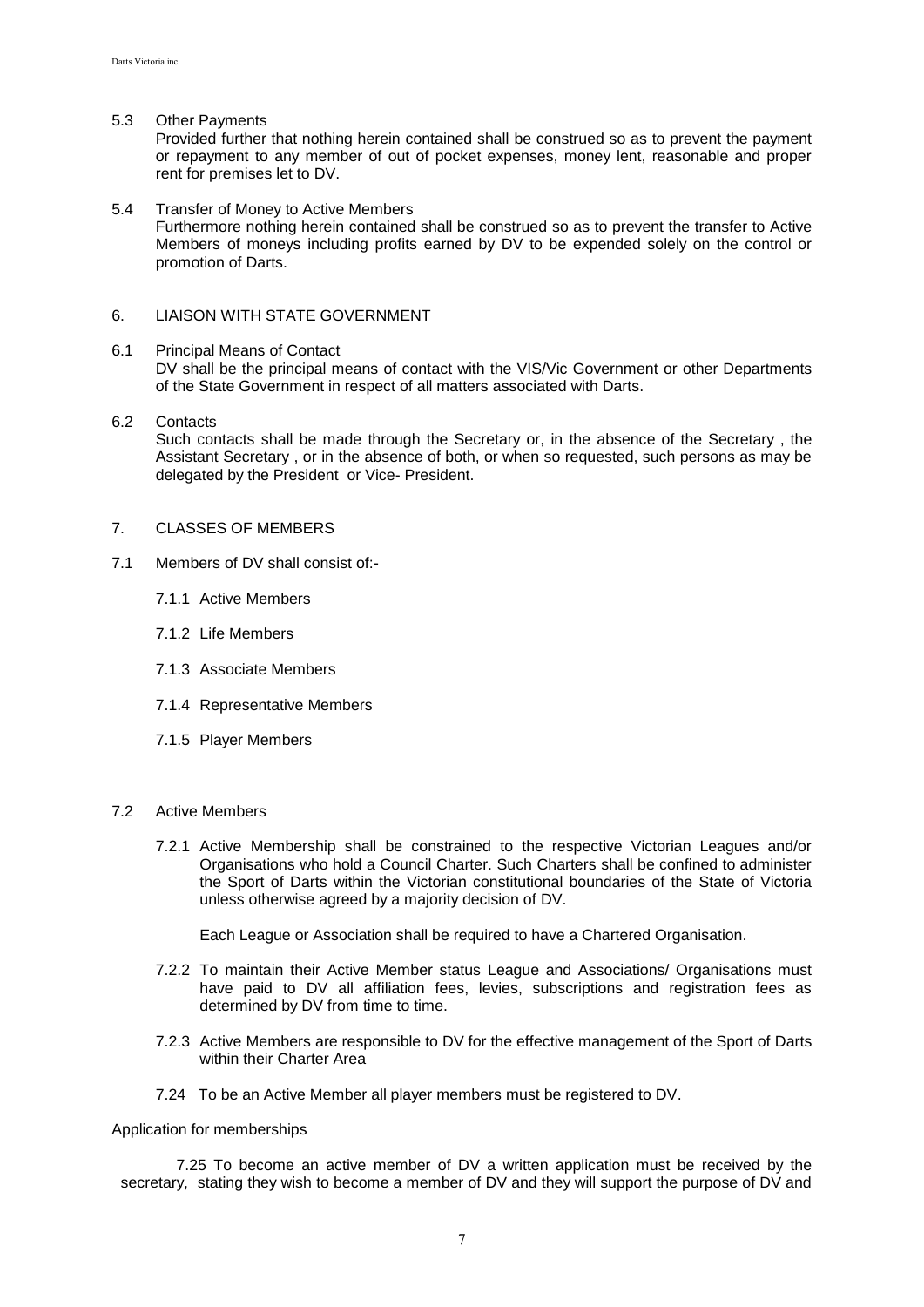#### 5.3 Other Payments

Provided further that nothing herein contained shall be construed so as to prevent the payment or repayment to any member of out of pocket expenses, money lent, reasonable and proper rent for premises let to DV.

#### 5.4 Transfer of Money to Active Members

Furthermore nothing herein contained shall be construed so as to prevent the transfer to Active Members of moneys including profits earned by DV to be expended solely on the control or promotion of Darts.

## 6. LIAISON WITH STATE GOVERNMENT

#### 6.1 Principal Means of Contact

DV shall be the principal means of contact with the VIS/Vic Government or other Departments of the State Government in respect of all matters associated with Darts.

# 6.2 Contacts

Such contacts shall be made through the Secretary or, in the absence of the Secretary , the Assistant Secretary , or in the absence of both, or when so requested, such persons as may be delegated by the President or Vice- President.

#### 7. CLASSES OF MEMBERS

- 7.1 Members of DV shall consist of:-
	- 7.1.1 Active Members
	- 7.1.2 Life Members
	- 7.1.3 Associate Members
	- 7.1.4 Representative Members
	- 7.1.5 Player Members

## 7.2 Active Members

7.2.1 Active Membership shall be constrained to the respective Victorian Leagues and/or Organisations who hold a Council Charter. Such Charters shall be confined to administer the Sport of Darts within the Victorian constitutional boundaries of the State of Victoria unless otherwise agreed by a majority decision of DV.

Each League or Association shall be required to have a Chartered Organisation.

- 7.2.2 To maintain their Active Member status League and Associations/ Organisations must have paid to DV all affiliation fees, levies, subscriptions and registration fees as determined by DV from time to time.
- 7.2.3 Active Members are responsible to DV for the effective management of the Sport of Darts within their Charter Area
- 7.24 To be an Active Member all player members must be registered to DV.

#### Application for memberships

 7.25 To become an active member of DV a written application must be received by the secretary, stating they wish to become a member of DV and they will support the purpose of DV and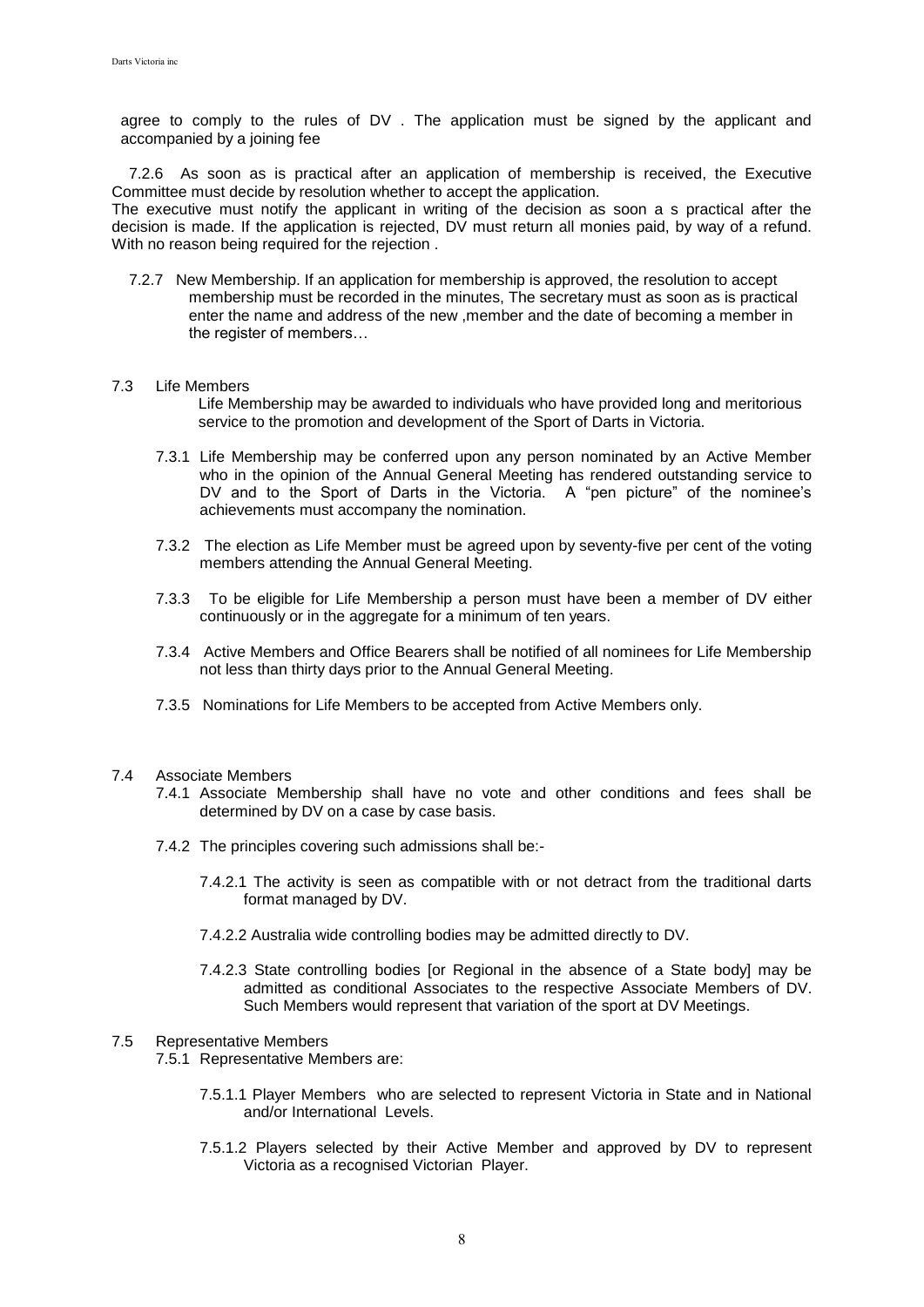agree to comply to the rules of DV . The application must be signed by the applicant and accompanied by a joining fee

 7.2.6 As soon as is practical after an application of membership is received, the Executive Committee must decide by resolution whether to accept the application. The executive must notify the applicant in writing of the decision as soon a s practical after the decision is made. If the application is rejected, DV must return all monies paid, by way of a refund. With no reason being required for the rejection .

 7.2.7 New Membership. If an application for membership is approved, the resolution to accept membership must be recorded in the minutes, The secretary must as soon as is practical enter the name and address of the new ,member and the date of becoming a member in the register of members…

### 7.3 Life Members

- Life Membership may be awarded to individuals who have provided long and meritorious service to the promotion and development of the Sport of Darts in Victoria.
- 7.3.1 Life Membership may be conferred upon any person nominated by an Active Member who in the opinion of the Annual General Meeting has rendered outstanding service to DV and to the Sport of Darts in the Victoria. A "pen picture" of the nominee's achievements must accompany the nomination.
- 7.3.2 The election as Life Member must be agreed upon by seventy-five per cent of the voting members attending the Annual General Meeting.
- 7.3.3 To be eligible for Life Membership a person must have been a member of DV either continuously or in the aggregate for a minimum of ten years.
- 7.3.4 Active Members and Office Bearers shall be notified of all nominees for Life Membership not less than thirty days prior to the Annual General Meeting.
- 7.3.5 Nominations for Life Members to be accepted from Active Members only.

### 7.4 Associate Members

- 7.4.1 Associate Membership shall have no vote and other conditions and fees shall be determined by DV on a case by case basis.
- 7.4.2 The principles covering such admissions shall be:-
	- 7.4.2.1 The activity is seen as compatible with or not detract from the traditional darts format managed by DV.
	- 7.4.2.2 Australia wide controlling bodies may be admitted directly to DV.
	- 7.4.2.3 State controlling bodies [or Regional in the absence of a State body] may be admitted as conditional Associates to the respective Associate Members of DV. Such Members would represent that variation of the sport at DV Meetings.

### 7.5 Representative Members

- 7.5.1 Representative Members are:
	- 7.5.1.1 Player Members who are selected to represent Victoria in State and in National and/or International Levels.
	- 7.5.1.2 Players selected by their Active Member and approved by DV to represent Victoria as a recognised Victorian Player.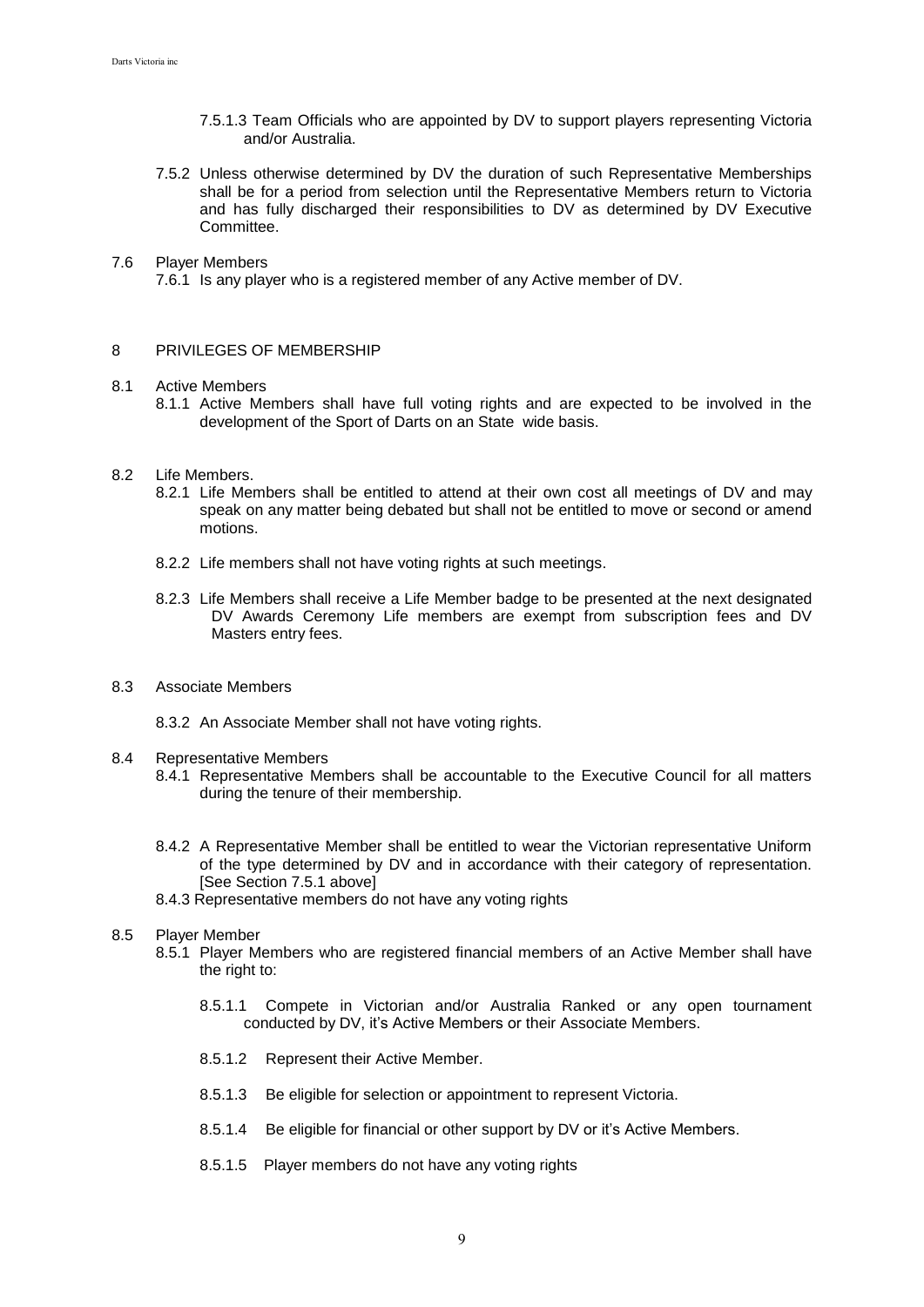- 7.5.1.3 Team Officials who are appointed by DV to support players representing Victoria and/or Australia.
- 7.5.2 Unless otherwise determined by DV the duration of such Representative Memberships shall be for a period from selection until the Representative Members return to Victoria and has fully discharged their responsibilities to DV as determined by DV Executive Committee.

## 7.6 Player Members

7.6.1 Is any player who is a registered member of any Active member of DV.

#### 8 PRIVILEGES OF MEMBERSHIP

#### 8.1 Active Members

- 8.1.1 Active Members shall have full voting rights and are expected to be involved in the development of the Sport of Darts on an State wide basis.
- 8.2 Life Members.
	- 8.2.1 Life Members shall be entitled to attend at their own cost all meetings of DV and may speak on any matter being debated but shall not be entitled to move or second or amend motions.
	- 8.2.2 Life members shall not have voting rights at such meetings.
	- 8.2.3 Life Members shall receive a Life Member badge to be presented at the next designated DV Awards Ceremony Life members are exempt from subscription fees and DV Masters entry fees.
- 8.3 Associate Members
	- 8.3.2 An Associate Member shall not have voting rights.
- 8.4 Representative Members
	- 8.4.1 Representative Members shall be accountable to the Executive Council for all matters during the tenure of their membership.
	- 8.4.2 A Representative Member shall be entitled to wear the Victorian representative Uniform of the type determined by DV and in accordance with their category of representation. [See Section 7.5.1 above]
	- 8.4.3 Representative members do not have any voting rights

#### 8.5 Player Member

- 8.5.1 Player Members who are registered financial members of an Active Member shall have the right to:
	- 8.5.1.1 Compete in Victorian and/or Australia Ranked or any open tournament conducted by DV, it's Active Members or their Associate Members.
	- 8.5.1.2 Represent their Active Member.
	- 8.5.1.3 Be eligible for selection or appointment to represent Victoria.
	- 8.5.1.4 Be eligible for financial or other support by DV or it's Active Members.
	- 8.5.1.5 Player members do not have any voting rights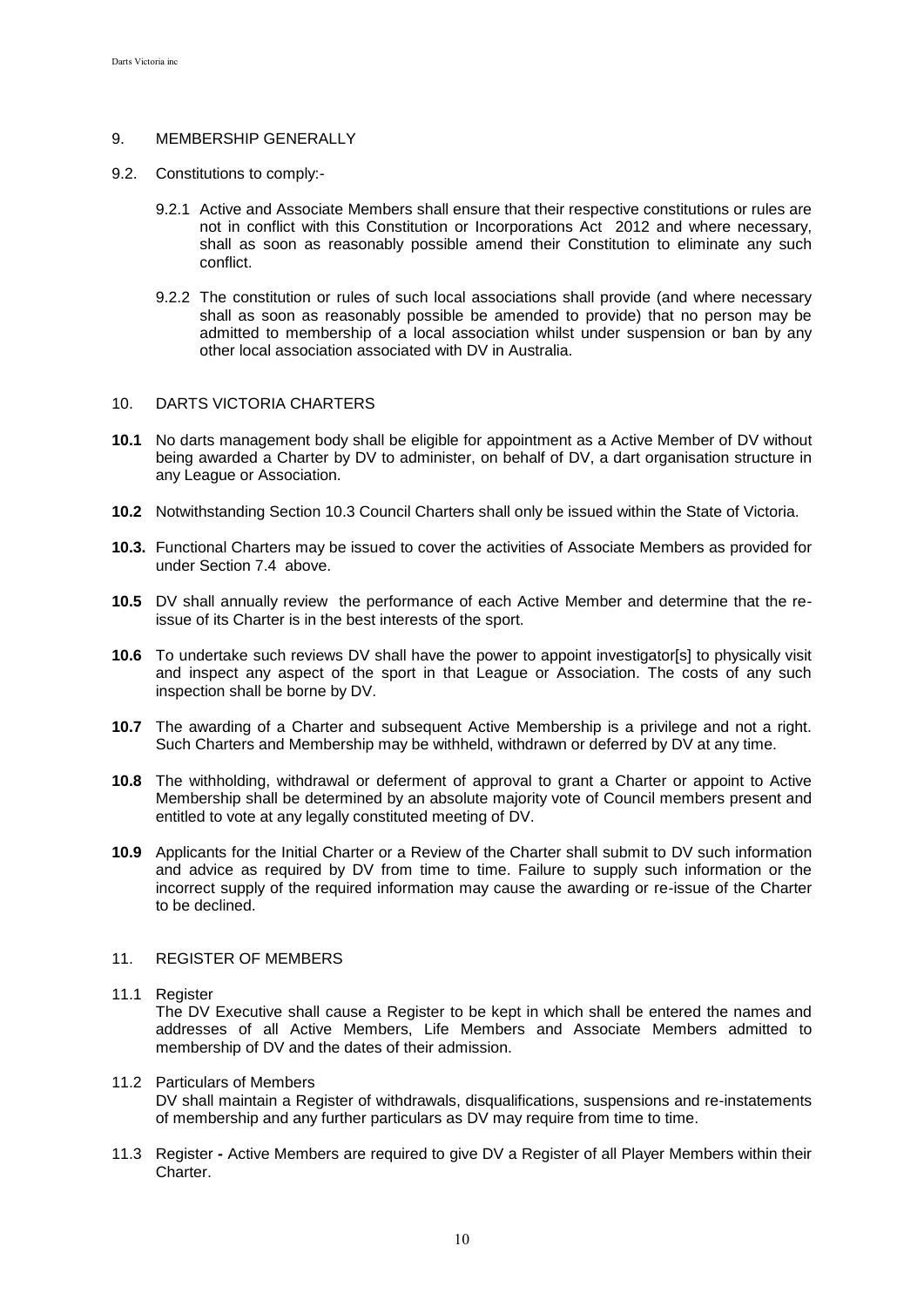## 9. MEMBERSHIP GENERALLY

- 9.2. Constitutions to comply:-
	- 9.2.1 Active and Associate Members shall ensure that their respective constitutions or rules are not in conflict with this Constitution or Incorporations Act 2012 and where necessary, shall as soon as reasonably possible amend their Constitution to eliminate any such conflict.
	- 9.2.2 The constitution or rules of such local associations shall provide (and where necessary shall as soon as reasonably possible be amended to provide) that no person may be admitted to membership of a local association whilst under suspension or ban by any other local association associated with DV in Australia.

## 10. DARTS VICTORIA CHARTERS

- **10.1** No darts management body shall be eligible for appointment as a Active Member of DV without being awarded a Charter by DV to administer, on behalf of DV, a dart organisation structure in any League or Association.
- **10.2** Notwithstanding Section 10.3 Council Charters shall only be issued within the State of Victoria.
- **10.3.** Functional Charters may be issued to cover the activities of Associate Members as provided for under Section 7.4 above.
- **10.5** DV shall annually review the performance of each Active Member and determine that the reissue of its Charter is in the best interests of the sport.
- **10.6** To undertake such reviews DV shall have the power to appoint investigator[s] to physically visit and inspect any aspect of the sport in that League or Association. The costs of any such inspection shall be borne by DV.
- **10.7** The awarding of a Charter and subsequent Active Membership is a privilege and not a right. Such Charters and Membership may be withheld, withdrawn or deferred by DV at any time.
- **10.8** The withholding, withdrawal or deferment of approval to grant a Charter or appoint to Active Membership shall be determined by an absolute majority vote of Council members present and entitled to vote at any legally constituted meeting of DV.
- **10.9** Applicants for the Initial Charter or a Review of the Charter shall submit to DV such information and advice as required by DV from time to time. Failure to supply such information or the incorrect supply of the required information may cause the awarding or re-issue of the Charter to be declined.

## 11. REGISTER OF MEMBERS

## 11.1 Register

The DV Executive shall cause a Register to be kept in which shall be entered the names and addresses of all Active Members, Life Members and Associate Members admitted to membership of DV and the dates of their admission.

#### 11.2 Particulars of Members DV shall maintain a Register of withdrawals, disqualifications, suspensions and re-instatements of membership and any further particulars as DV may require from time to time.

11.3 Register **-** Active Members are required to give DV a Register of all Player Members within their Charter.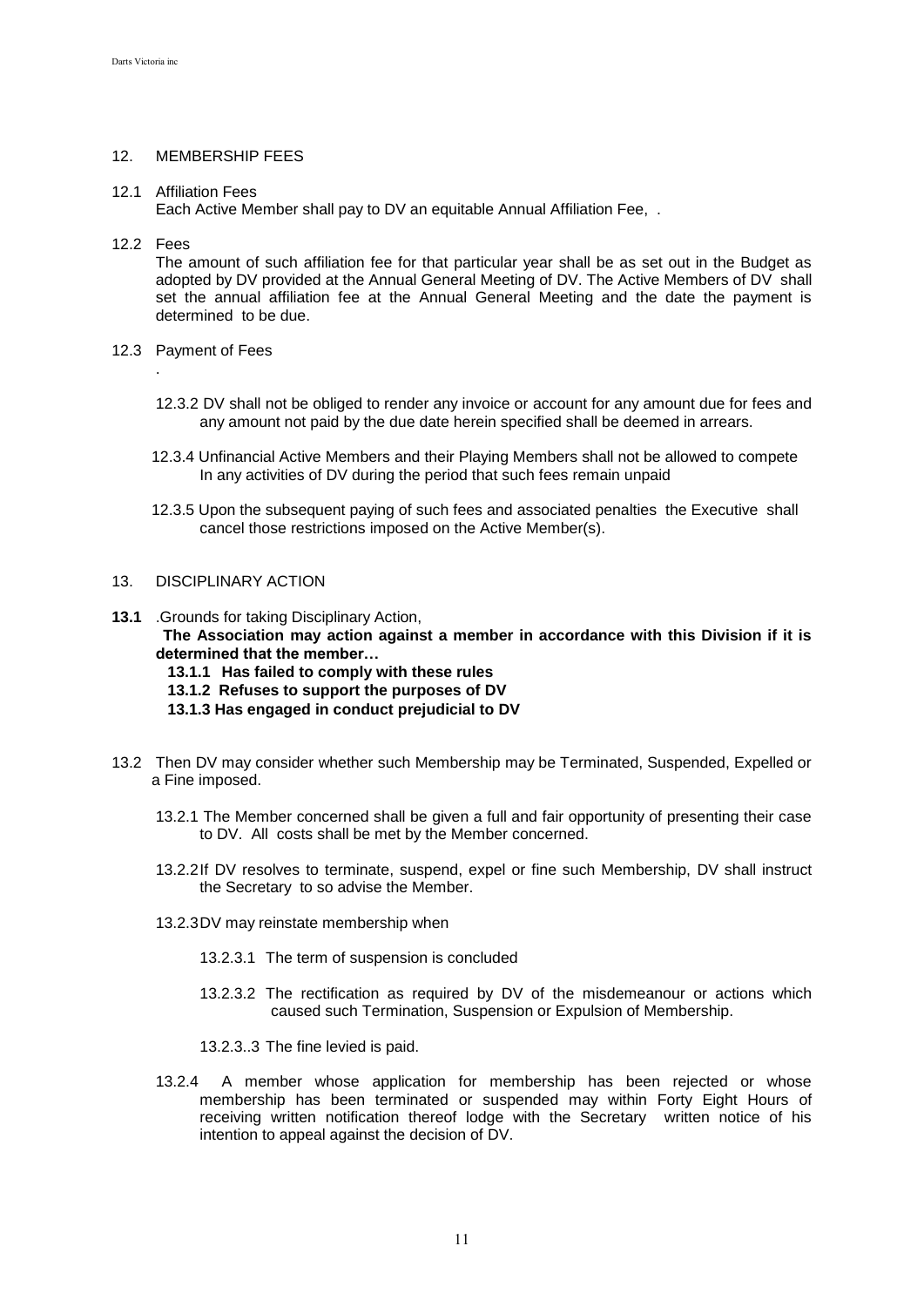## 12. MEMBERSHIP FEES

### 12.1 Affiliation Fees

Each Active Member shall pay to DV an equitable Annual Affiliation Fee, .

### 12.2 Fees

.

The amount of such affiliation fee for that particular year shall be as set out in the Budget as adopted by DV provided at the Annual General Meeting of DV. The Active Members of DV shall set the annual affiliation fee at the Annual General Meeting and the date the payment is determined to be due.

- 12.3 Payment of Fees
	- 12.3.2 DV shall not be obliged to render any invoice or account for any amount due for fees and any amount not paid by the due date herein specified shall be deemed in arrears.
	- 12.3.4 Unfinancial Active Members and their Playing Members shall not be allowed to compete In any activities of DV during the period that such fees remain unpaid
	- 12.3.5 Upon the subsequent paying of such fees and associated penalties the Executive shall cancel those restrictions imposed on the Active Member(s).

## 13. DISCIPLINARY ACTION

- **13.1** .Grounds for taking Disciplinary Action,  **The Association may action against a member in accordance with this Division if it is determined that the member…**
	- **13.1.1 Has failed to comply with these rules**
	- **13.1.2 Refuses to support the purposes of DV**
	- **13.1.3 Has engaged in conduct prejudicial to DV**
- 13.2 Then DV may consider whether such Membership may be Terminated, Suspended, Expelled or a Fine imposed.
	- 13.2.1 The Member concerned shall be given a full and fair opportunity of presenting their case to DV. All costs shall be met by the Member concerned.
	- 13.2.2If DV resolves to terminate, suspend, expel or fine such Membership, DV shall instruct the Secretary to so advise the Member.
	- 13.2.3DV may reinstate membership when
		- 13.2.3.1 The term of suspension is concluded
		- 13.2.3.2 The rectification as required by DV of the misdemeanour or actions which caused such Termination, Suspension or Expulsion of Membership.

13.2.3..3 The fine levied is paid.

13.2.4 A member whose application for membership has been rejected or whose membership has been terminated or suspended may within Forty Eight Hours of receiving written notification thereof lodge with the Secretary written notice of his intention to appeal against the decision of DV.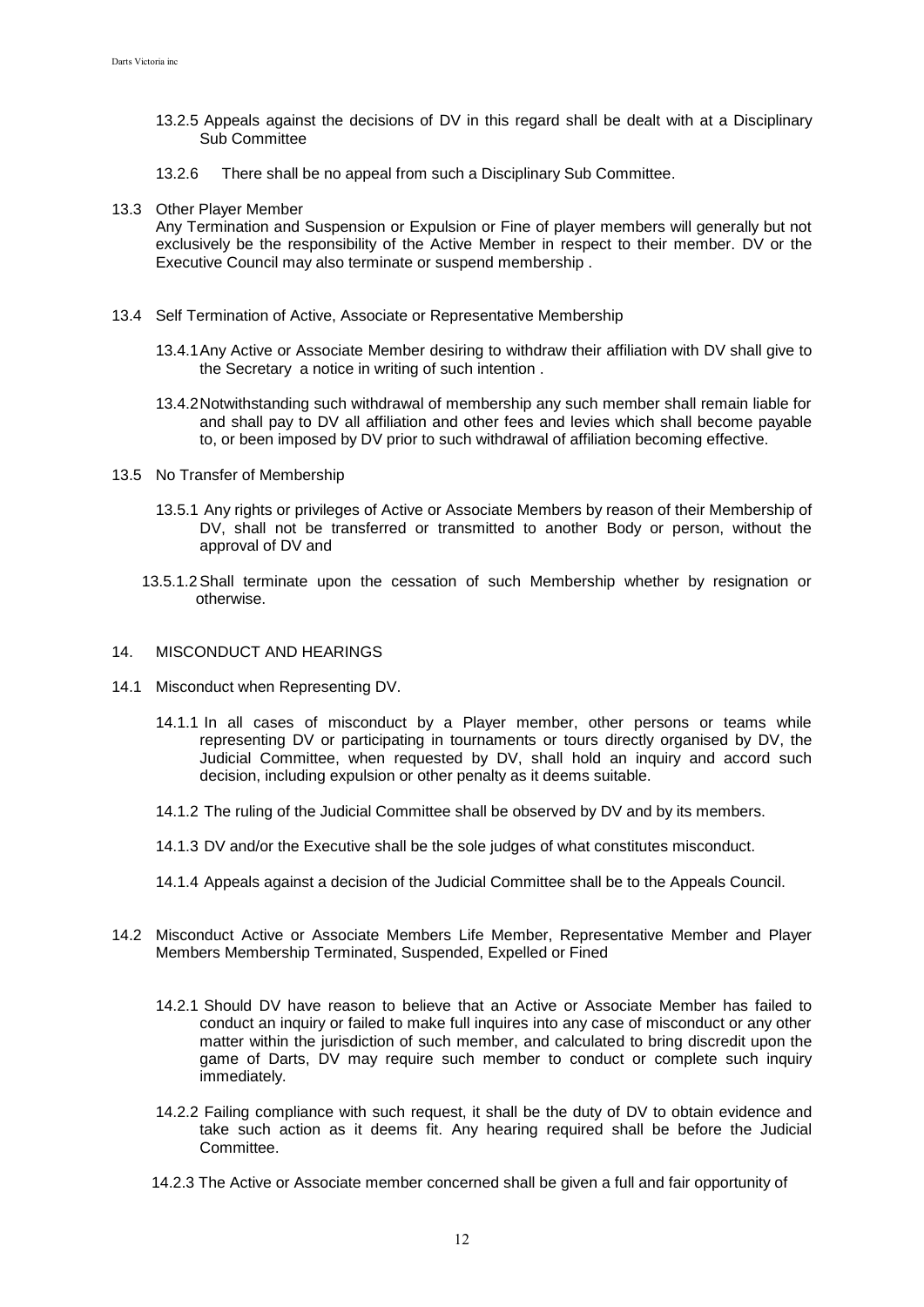- 13.2.5 Appeals against the decisions of DV in this regard shall be dealt with at a Disciplinary Sub Committee
- 13.2.6 There shall be no appeal from such a Disciplinary Sub Committee.
- 13.3 Other Player Member

Any Termination and Suspension or Expulsion or Fine of player members will generally but not exclusively be the responsibility of the Active Member in respect to their member. DV or the Executive Council may also terminate or suspend membership .

- 13.4 Self Termination of Active, Associate or Representative Membership
	- 13.4.1Any Active or Associate Member desiring to withdraw their affiliation with DV shall give to the Secretary a notice in writing of such intention .
	- 13.4.2Notwithstanding such withdrawal of membership any such member shall remain liable for and shall pay to DV all affiliation and other fees and levies which shall become payable to, or been imposed by DV prior to such withdrawal of affiliation becoming effective.
- 13.5 No Transfer of Membership
	- 13.5.1 Any rights or privileges of Active or Associate Members by reason of their Membership of DV, shall not be transferred or transmitted to another Body or person, without the approval of DV and
	- 13.5.1.2Shall terminate upon the cessation of such Membership whether by resignation or otherwise.

## 14. MISCONDUCT AND HEARINGS

- 14.1 Misconduct when Representing DV.
	- 14.1.1 In all cases of misconduct by a Player member, other persons or teams while representing DV or participating in tournaments or tours directly organised by DV, the Judicial Committee, when requested by DV, shall hold an inquiry and accord such decision, including expulsion or other penalty as it deems suitable.
	- 14.1.2 The ruling of the Judicial Committee shall be observed by DV and by its members.
	- 14.1.3 DV and/or the Executive shall be the sole judges of what constitutes misconduct.
	- 14.1.4 Appeals against a decision of the Judicial Committee shall be to the Appeals Council.
- 14.2 Misconduct Active or Associate Members Life Member, Representative Member and Player Members Membership Terminated, Suspended, Expelled or Fined
	- 14.2.1 Should DV have reason to believe that an Active or Associate Member has failed to conduct an inquiry or failed to make full inquires into any case of misconduct or any other matter within the jurisdiction of such member, and calculated to bring discredit upon the game of Darts, DV may require such member to conduct or complete such inquiry immediately.
	- 14.2.2 Failing compliance with such request, it shall be the duty of DV to obtain evidence and take such action as it deems fit. Any hearing required shall be before the Judicial Committee.
	- 14.2.3 The Active or Associate member concerned shall be given a full and fair opportunity of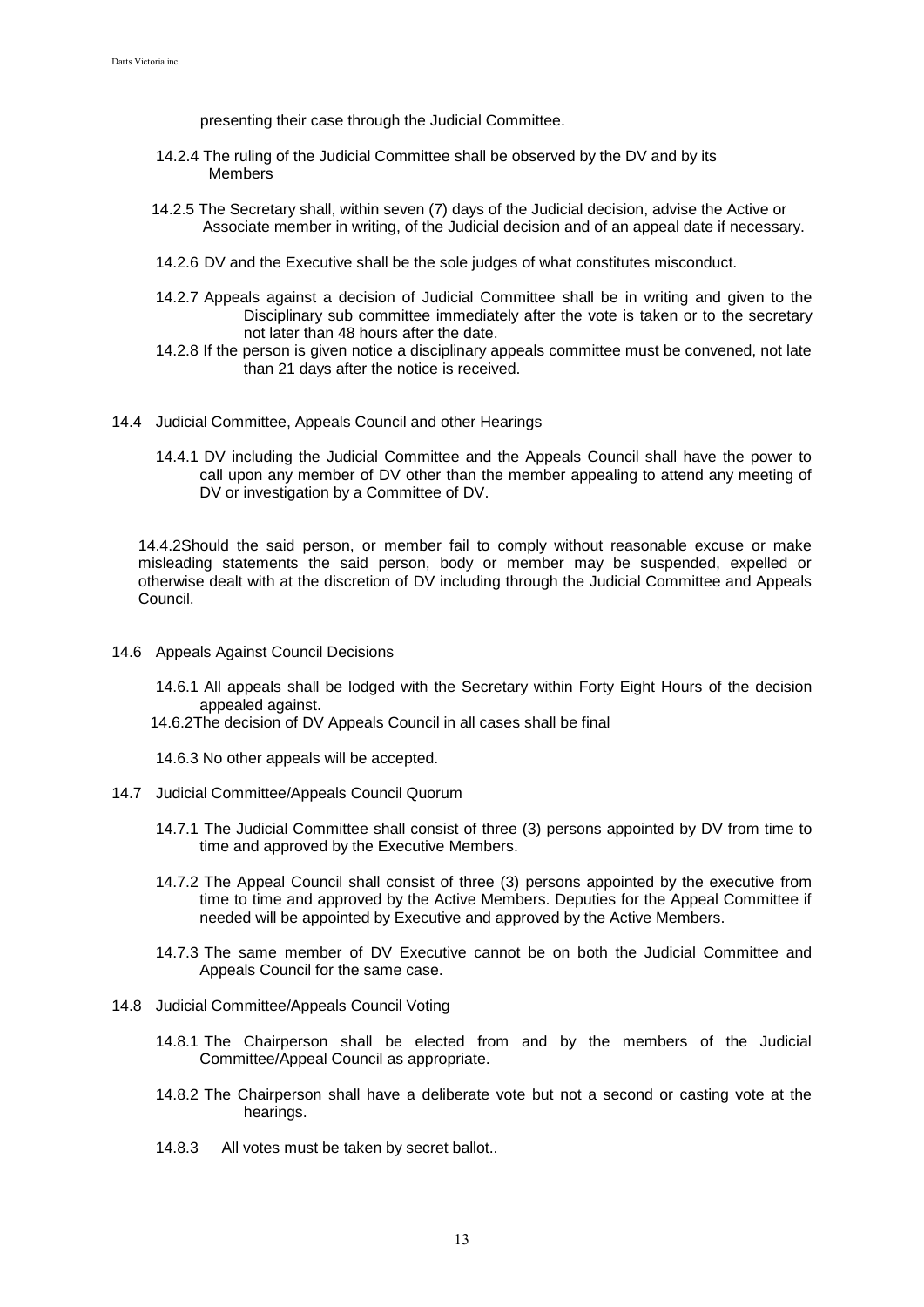presenting their case through the Judicial Committee.

- 14.2.4 The ruling of the Judicial Committee shall be observed by the DV and by its Members
- 14.2.5 The Secretary shall, within seven (7) days of the Judicial decision, advise the Active or Associate member in writing, of the Judicial decision and of an appeal date if necessary.
- 14.2.6 DV and the Executive shall be the sole judges of what constitutes misconduct.
- 14.2.7 Appeals against a decision of Judicial Committee shall be in writing and given to the Disciplinary sub committee immediately after the vote is taken or to the secretary not later than 48 hours after the date.
- 14.2.8 If the person is given notice a disciplinary appeals committee must be convened, not late than 21 days after the notice is received.
- 14.4 Judicial Committee, Appeals Council and other Hearings
	- 14.4.1 DV including the Judicial Committee and the Appeals Council shall have the power to call upon any member of DV other than the member appealing to attend any meeting of DV or investigation by a Committee of DV.

14.4.2Should the said person, or member fail to comply without reasonable excuse or make misleading statements the said person, body or member may be suspended, expelled or otherwise dealt with at the discretion of DV including through the Judicial Committee and Appeals Council.

- 14.6 Appeals Against Council Decisions
	- 14.6.1 All appeals shall be lodged with the Secretary within Forty Eight Hours of the decision appealed against.
	- 14.6.2The decision of DV Appeals Council in all cases shall be final
	- 14.6.3 No other appeals will be accepted.
- 14.7 Judicial Committee/Appeals Council Quorum
	- 14.7.1 The Judicial Committee shall consist of three (3) persons appointed by DV from time to time and approved by the Executive Members.
	- 14.7.2 The Appeal Council shall consist of three (3) persons appointed by the executive from time to time and approved by the Active Members. Deputies for the Appeal Committee if needed will be appointed by Executive and approved by the Active Members.
	- 14.7.3 The same member of DV Executive cannot be on both the Judicial Committee and Appeals Council for the same case.
- 14.8 Judicial Committee/Appeals Council Voting
	- 14.8.1 The Chairperson shall be elected from and by the members of the Judicial Committee/Appeal Council as appropriate.
	- 14.8.2 The Chairperson shall have a deliberate vote but not a second or casting vote at the hearings.
	- 14.8.3 All votes must be taken by secret ballot..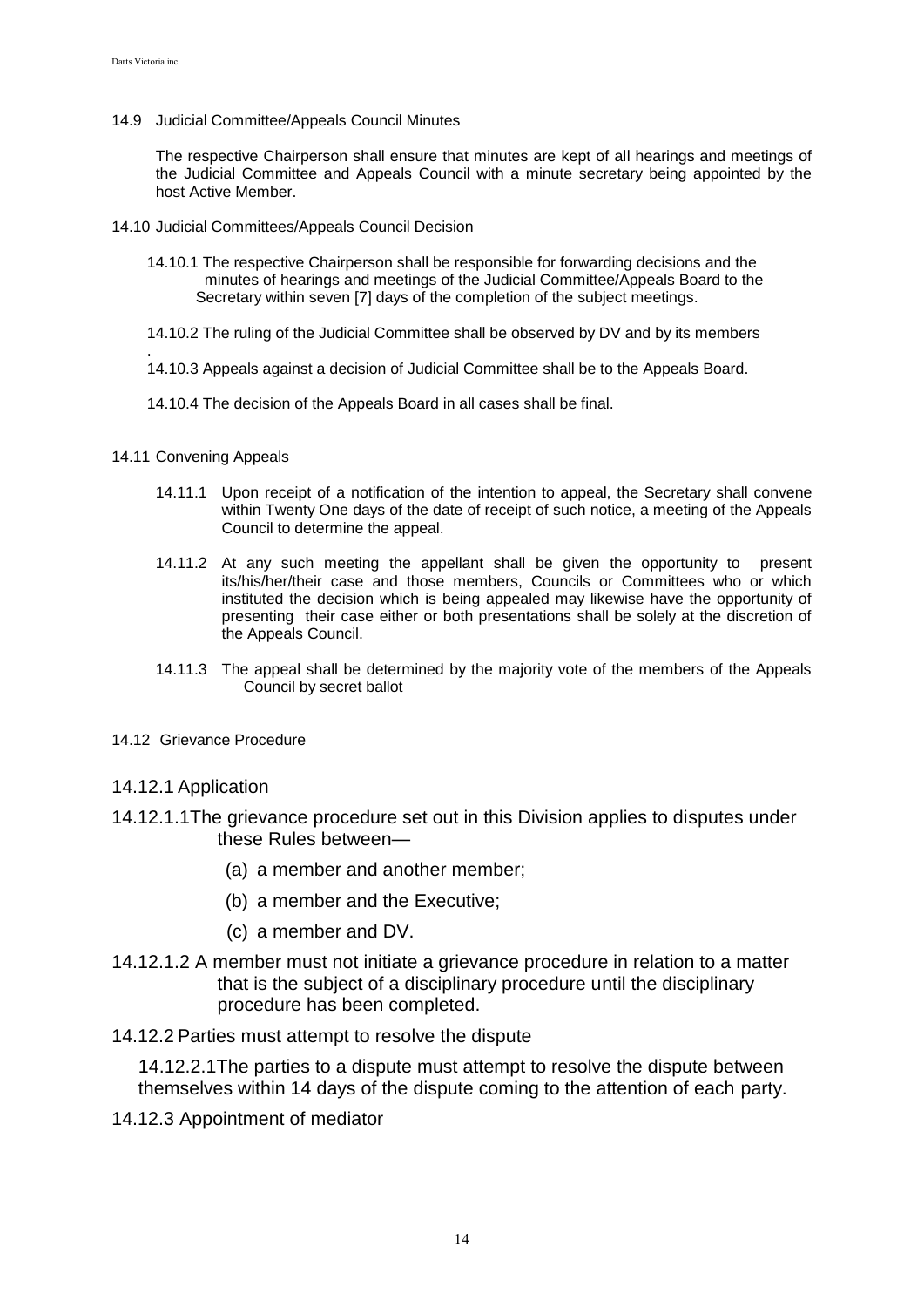14.9 Judicial Committee/Appeals Council Minutes

The respective Chairperson shall ensure that minutes are kept of all hearings and meetings of the Judicial Committee and Appeals Council with a minute secretary being appointed by the host Active Member.

- 14.10 Judicial Committees/Appeals Council Decision
	- 14.10.1 The respective Chairperson shall be responsible for forwarding decisions and the minutes of hearings and meetings of the Judicial Committee/Appeals Board to the Secretary within seven [7] days of the completion of the subject meetings.
	- 14.10.2 The ruling of the Judicial Committee shall be observed by DV and by its members
	- . 14.10.3 Appeals against a decision of Judicial Committee shall be to the Appeals Board.
	- 14.10.4 The decision of the Appeals Board in all cases shall be final.
- 14.11 Convening Appeals
	- 14.11.1 Upon receipt of a notification of the intention to appeal, the Secretary shall convene within Twenty One days of the date of receipt of such notice, a meeting of the Appeals Council to determine the appeal.
	- 14.11.2 At any such meeting the appellant shall be given the opportunity to present its/his/her/their case and those members, Councils or Committees who or which instituted the decision which is being appealed may likewise have the opportunity of presenting their case either or both presentations shall be solely at the discretion of the Appeals Council.
	- 14.11.3 The appeal shall be determined by the majority vote of the members of the Appeals Council by secret ballot
- 14.12 Grievance Procedure

## 14.12.1 Application

- 14.12.1.1The grievance procedure set out in this Division applies to disputes under these Rules between—
	- (a) a member and another member;
	- (b) a member and the Executive;
	- (c) a member and DV.
- 14.12.1.2 A member must not initiate a grievance procedure in relation to a matter that is the subject of a disciplinary procedure until the disciplinary procedure has been completed.
- 14.12.2 Parties must attempt to resolve the dispute

14.12.2.1The parties to a dispute must attempt to resolve the dispute between themselves within 14 days of the dispute coming to the attention of each party.

14.12.3 Appointment of mediator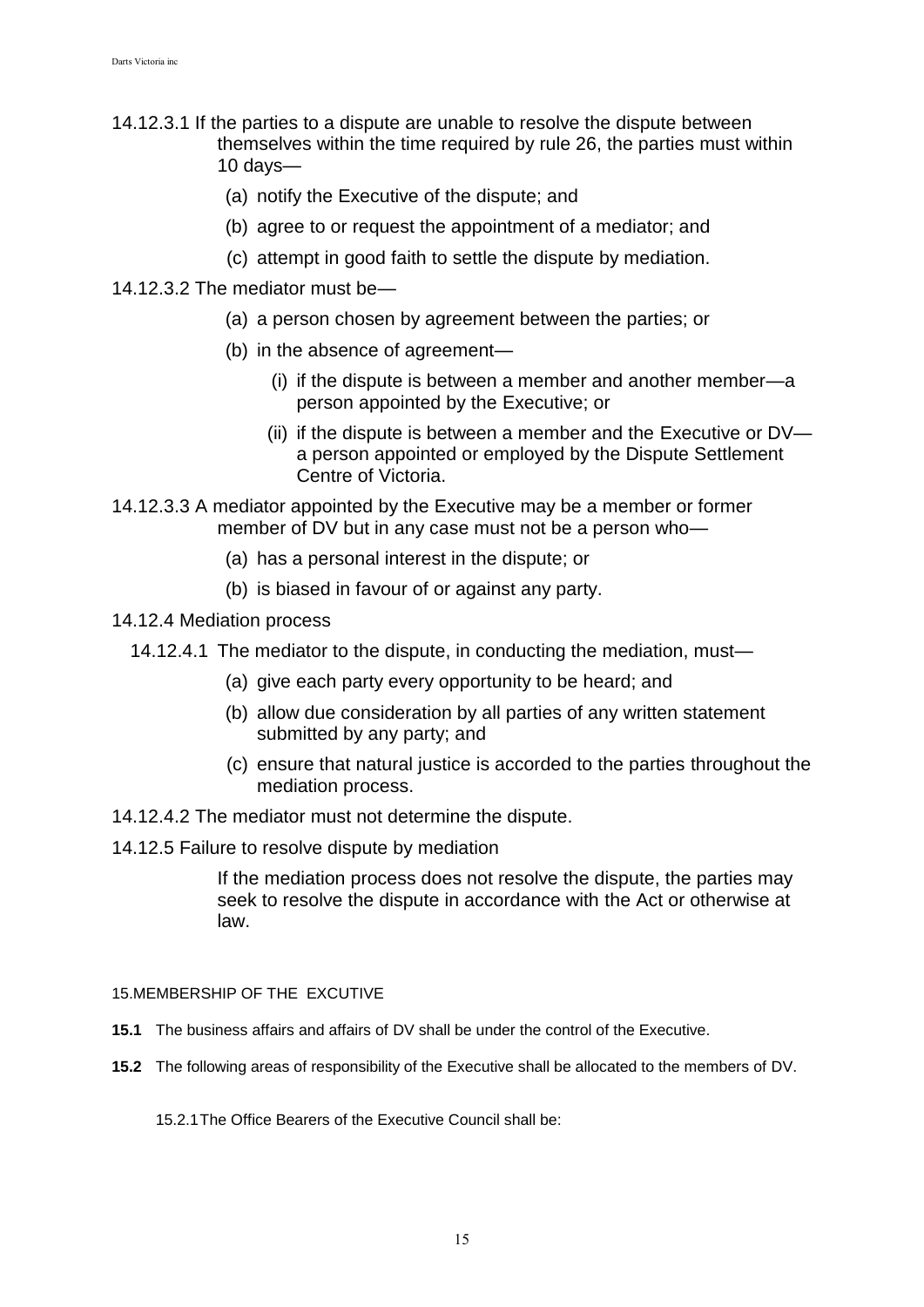- 14.12.3.1 If the parties to a dispute are unable to resolve the dispute between themselves within the time required by rule 26, the parties must within 10 days—
	- (a) notify the Executive of the dispute; and
	- (b) agree to or request the appointment of a mediator; and
	- (c) attempt in good faith to settle the dispute by mediation.
- 14.12.3.2 The mediator must be—
	- (a) a person chosen by agreement between the parties; or
	- (b) in the absence of agreement—
		- (i) if the dispute is between a member and another member—a person appointed by the Executive; or
		- (ii) if the dispute is between a member and the Executive or DV a person appointed or employed by the Dispute Settlement Centre of Victoria.
- 14.12.3.3 A mediator appointed by the Executive may be a member or former member of DV but in any case must not be a person who—
	- (a) has a personal interest in the dispute; or
	- (b) is biased in favour of or against any party.
- 14.12.4 Mediation process
	- 14.12.4.1 The mediator to the dispute, in conducting the mediation, must—
		- (a) give each party every opportunity to be heard; and
		- (b) allow due consideration by all parties of any written statement submitted by any party; and
		- (c) ensure that natural justice is accorded to the parties throughout the mediation process.
- 14.12.4.2 The mediator must not determine the dispute.
- 14.12.5 Failure to resolve dispute by mediation

If the mediation process does not resolve the dispute, the parties may seek to resolve the dispute in accordance with the Act or otherwise at law.

15.MEMBERSHIP OF THE EXCUTIVE

- **15.1** The business affairs and affairs of DV shall be under the control of the Executive.
- **15.2** The following areas of responsibility of the Executive shall be allocated to the members of DV.

15.2.1The Office Bearers of the Executive Council shall be: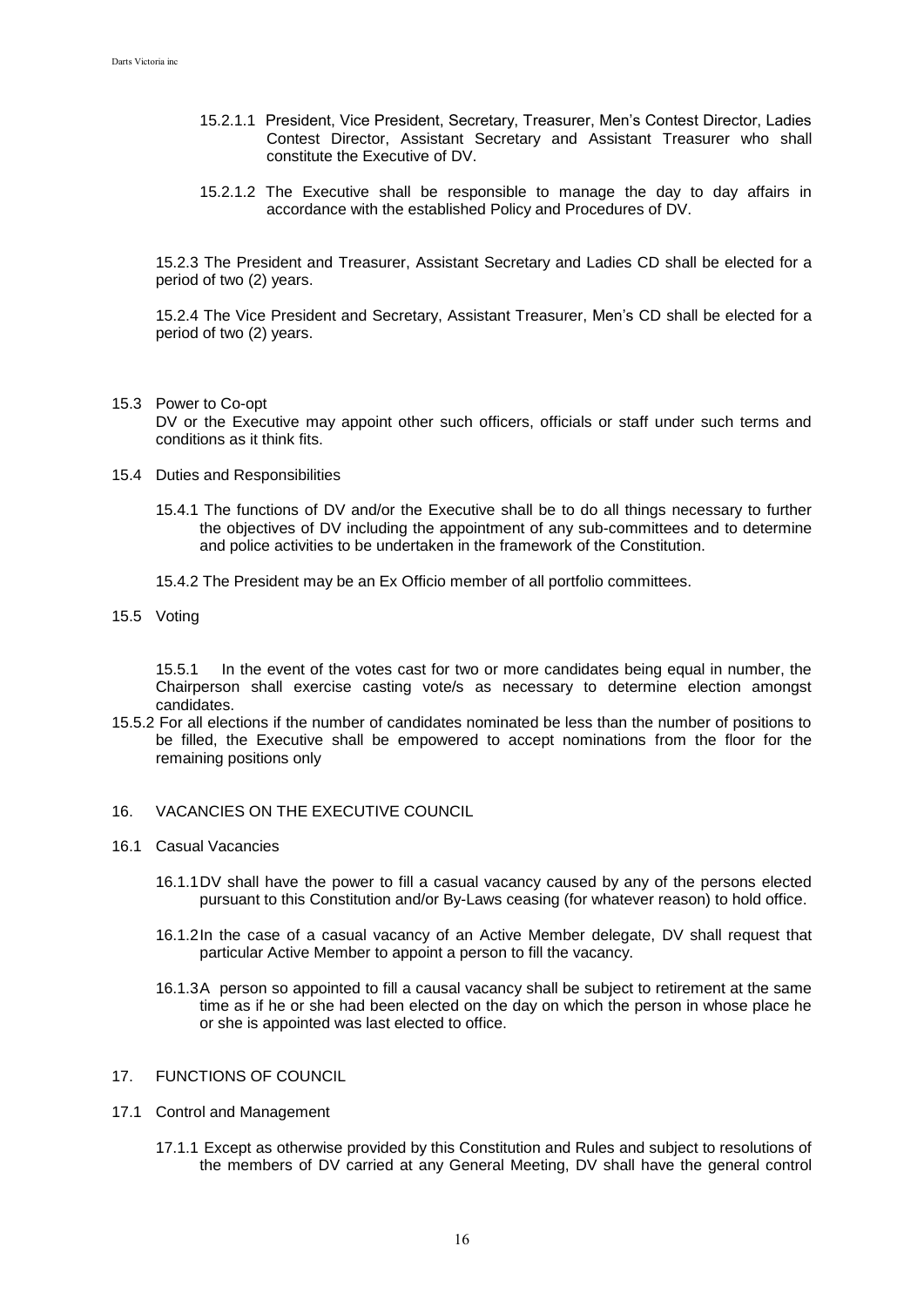- 15.2.1.1 President, Vice President, Secretary, Treasurer, Men's Contest Director, Ladies Contest Director, Assistant Secretary and Assistant Treasurer who shall constitute the Executive of DV.
- 15.2.1.2 The Executive shall be responsible to manage the day to day affairs in accordance with the established Policy and Procedures of DV.

15.2.3 The President and Treasurer, Assistant Secretary and Ladies CD shall be elected for a period of two (2) years.

15.2.4 The Vice President and Secretary, Assistant Treasurer, Men's CD shall be elected for a period of two (2) years.

15.3 Power to Co-opt

DV or the Executive may appoint other such officers, officials or staff under such terms and conditions as it think fits.

- 15.4 Duties and Responsibilities
	- 15.4.1 The functions of DV and/or the Executive shall be to do all things necessary to further the objectives of DV including the appointment of any sub-committees and to determine and police activities to be undertaken in the framework of the Constitution.
	- 15.4.2 The President may be an Ex Officio member of all portfolio committees.
- 15.5 Voting

15.5.1 In the event of the votes cast for two or more candidates being equal in number, the Chairperson shall exercise casting vote/s as necessary to determine election amongst candidates.

- 15.5.2 For all elections if the number of candidates nominated be less than the number of positions to be filled, the Executive shall be empowered to accept nominations from the floor for the remaining positions only
- 16. VACANCIES ON THE EXECUTIVE COUNCIL
- 16.1 Casual Vacancies
	- 16.1.1DV shall have the power to fill a casual vacancy caused by any of the persons elected pursuant to this Constitution and/or By-Laws ceasing (for whatever reason) to hold office.
	- 16.1.2In the case of a casual vacancy of an Active Member delegate, DV shall request that particular Active Member to appoint a person to fill the vacancy.
	- 16.1.3A person so appointed to fill a causal vacancy shall be subject to retirement at the same time as if he or she had been elected on the day on which the person in whose place he or she is appointed was last elected to office.
- 17. FUNCTIONS OF COUNCIL
- 17.1 Control and Management
	- 17.1.1 Except as otherwise provided by this Constitution and Rules and subject to resolutions of the members of DV carried at any General Meeting, DV shall have the general control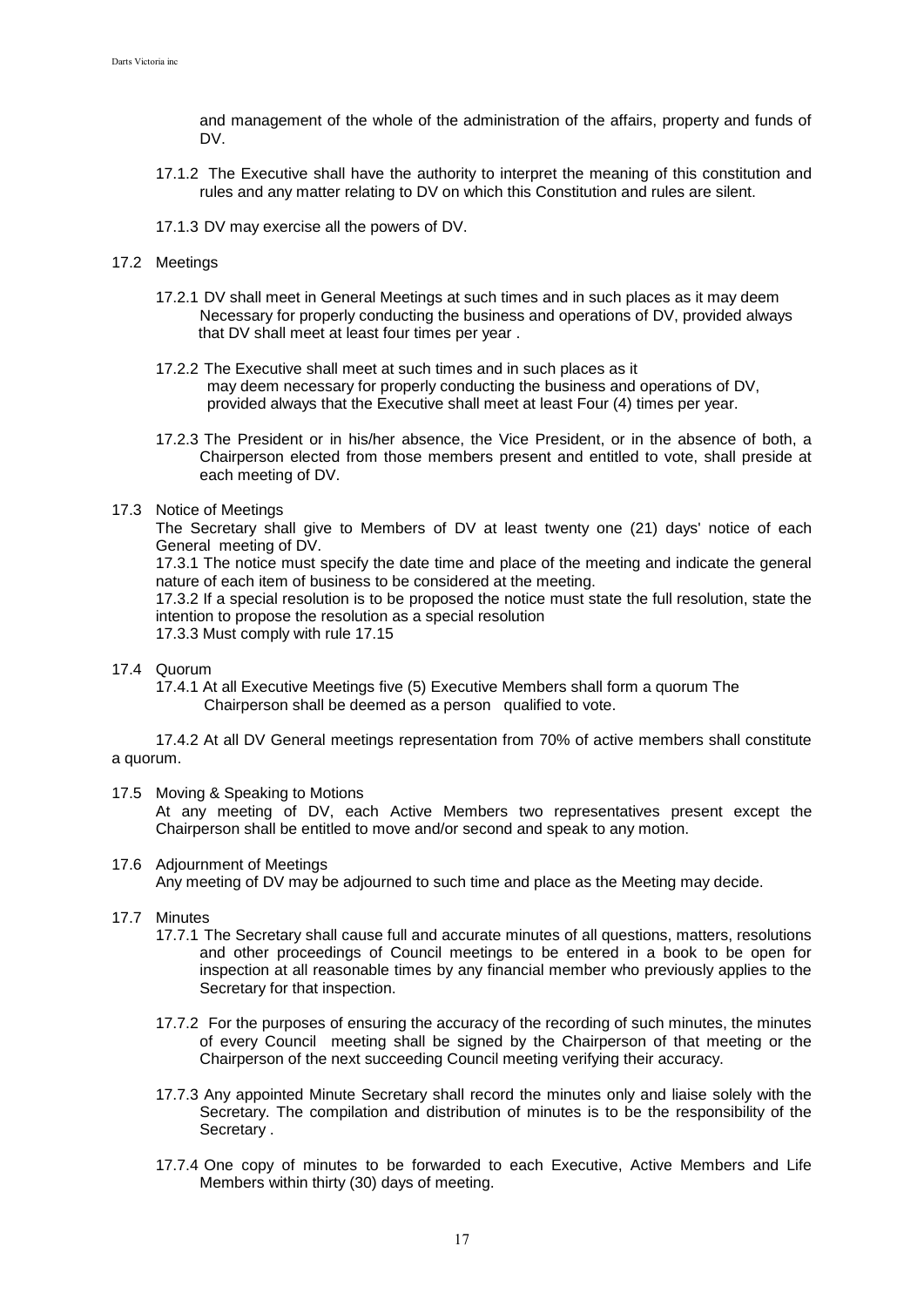and management of the whole of the administration of the affairs, property and funds of DV.

- 17.1.2 The Executive shall have the authority to interpret the meaning of this constitution and rules and any matter relating to DV on which this Constitution and rules are silent.
- 17.1.3 DV may exercise all the powers of DV.

#### 17.2 Meetings

- 17.2.1 DV shall meet in General Meetings at such times and in such places as it may deem Necessary for properly conducting the business and operations of DV, provided always that DV shall meet at least four times per year .
- 17.2.2 The Executive shall meet at such times and in such places as it may deem necessary for properly conducting the business and operations of DV, provided always that the Executive shall meet at least Four (4) times per year.
- 17.2.3 The President or in his/her absence, the Vice President, or in the absence of both, a Chairperson elected from those members present and entitled to vote, shall preside at each meeting of DV.

#### 17.3 Notice of Meetings

The Secretary shall give to Members of DV at least twenty one (21) days' notice of each General meeting of DV.

17.3.1 The notice must specify the date time and place of the meeting and indicate the general nature of each item of business to be considered at the meeting.

17.3.2 If a special resolution is to be proposed the notice must state the full resolution, state the intention to propose the resolution as a special resolution

17.3.3 Must comply with rule 17.15

## 17.4 Quorum

17.4.1 At all Executive Meetings five (5) Executive Members shall form a quorum The Chairperson shall be deemed as a person qualified to vote.

17.4.2 At all DV General meetings representation from 70% of active members shall constitute a quorum.

### 17.5 Moving & Speaking to Motions

At any meeting of DV, each Active Members two representatives present except the Chairperson shall be entitled to move and/or second and speak to any motion.

### 17.6 Adjournment of Meetings

Any meeting of DV may be adjourned to such time and place as the Meeting may decide.

#### 17.7 Minutes

- 17.7.1 The Secretary shall cause full and accurate minutes of all questions, matters, resolutions and other proceedings of Council meetings to be entered in a book to be open for inspection at all reasonable times by any financial member who previously applies to the Secretary for that inspection.
- 17.7.2 For the purposes of ensuring the accuracy of the recording of such minutes, the minutes of every Council meeting shall be signed by the Chairperson of that meeting or the Chairperson of the next succeeding Council meeting verifying their accuracy.
- 17.7.3 Any appointed Minute Secretary shall record the minutes only and liaise solely with the Secretary. The compilation and distribution of minutes is to be the responsibility of the Secretary .
- 17.7.4 One copy of minutes to be forwarded to each Executive, Active Members and Life Members within thirty (30) days of meeting.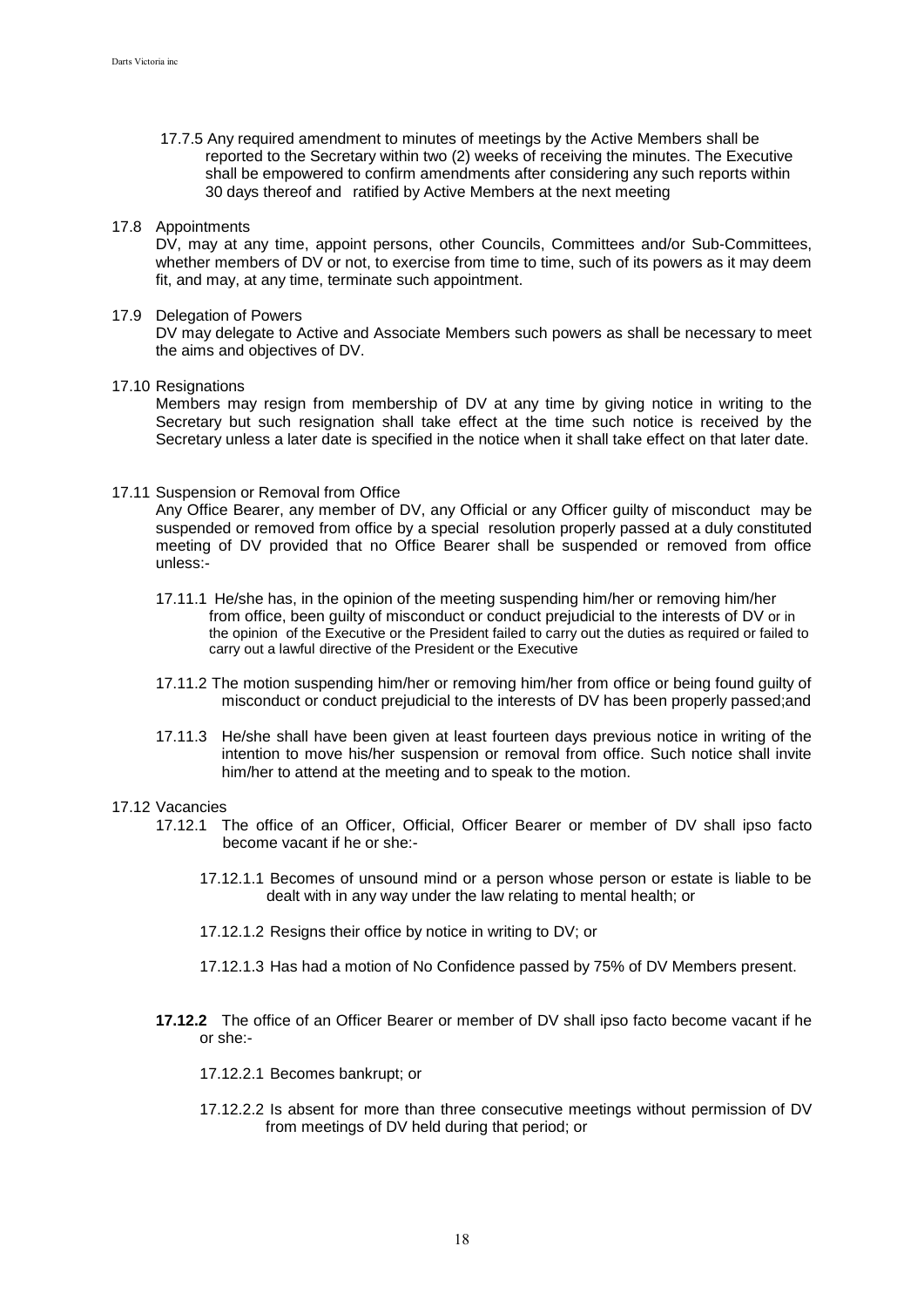17.7.5 Any required amendment to minutes of meetings by the Active Members shall be reported to the Secretary within two (2) weeks of receiving the minutes. The Executive shall be empowered to confirm amendments after considering any such reports within 30 days thereof and ratified by Active Members at the next meeting

#### 17.8 Appointments

DV, may at any time, appoint persons, other Councils, Committees and/or Sub-Committees, whether members of DV or not, to exercise from time to time, such of its powers as it may deem fit, and may, at any time, terminate such appointment.

#### 17.9 Delegation of Powers

DV may delegate to Active and Associate Members such powers as shall be necessary to meet the aims and objectives of DV.

#### 17.10 Resignations

Members may resign from membership of DV at any time by giving notice in writing to the Secretary but such resignation shall take effect at the time such notice is received by the Secretary unless a later date is specified in the notice when it shall take effect on that later date.

#### 17.11 Suspension or Removal from Office

Any Office Bearer, any member of DV, any Official or any Officer guilty of misconduct may be suspended or removed from office by a special resolution properly passed at a duly constituted meeting of DV provided that no Office Bearer shall be suspended or removed from office unless:-

- 17.11.1 He/she has, in the opinion of the meeting suspending him/her or removing him/her from office, been guilty of misconduct or conduct prejudicial to the interests of DV or in the opinion of the Executive or the President failed to carry out the duties as required or failed to carry out a lawful directive of the President or the Executive
- 17.11.2 The motion suspending him/her or removing him/her from office or being found guilty of misconduct or conduct prejudicial to the interests of DV has been properly passed;and
- 17.11.3 He/she shall have been given at least fourteen days previous notice in writing of the intention to move his/her suspension or removal from office. Such notice shall invite him/her to attend at the meeting and to speak to the motion.

#### 17.12 Vacancies

- 17.12.1 The office of an Officer, Official, Officer Bearer or member of DV shall ipso facto become vacant if he or she:-
	- 17.12.1.1 Becomes of unsound mind or a person whose person or estate is liable to be dealt with in any way under the law relating to mental health; or
	- 17.12.1.2 Resigns their office by notice in writing to DV; or
	- 17.12.1.3 Has had a motion of No Confidence passed by 75% of DV Members present.
- **17.12.2** The office of an Officer Bearer or member of DV shall ipso facto become vacant if he or she:-

17.12.2.1 Becomes bankrupt; or

17.12.2.2 Is absent for more than three consecutive meetings without permission of DV from meetings of DV held during that period; or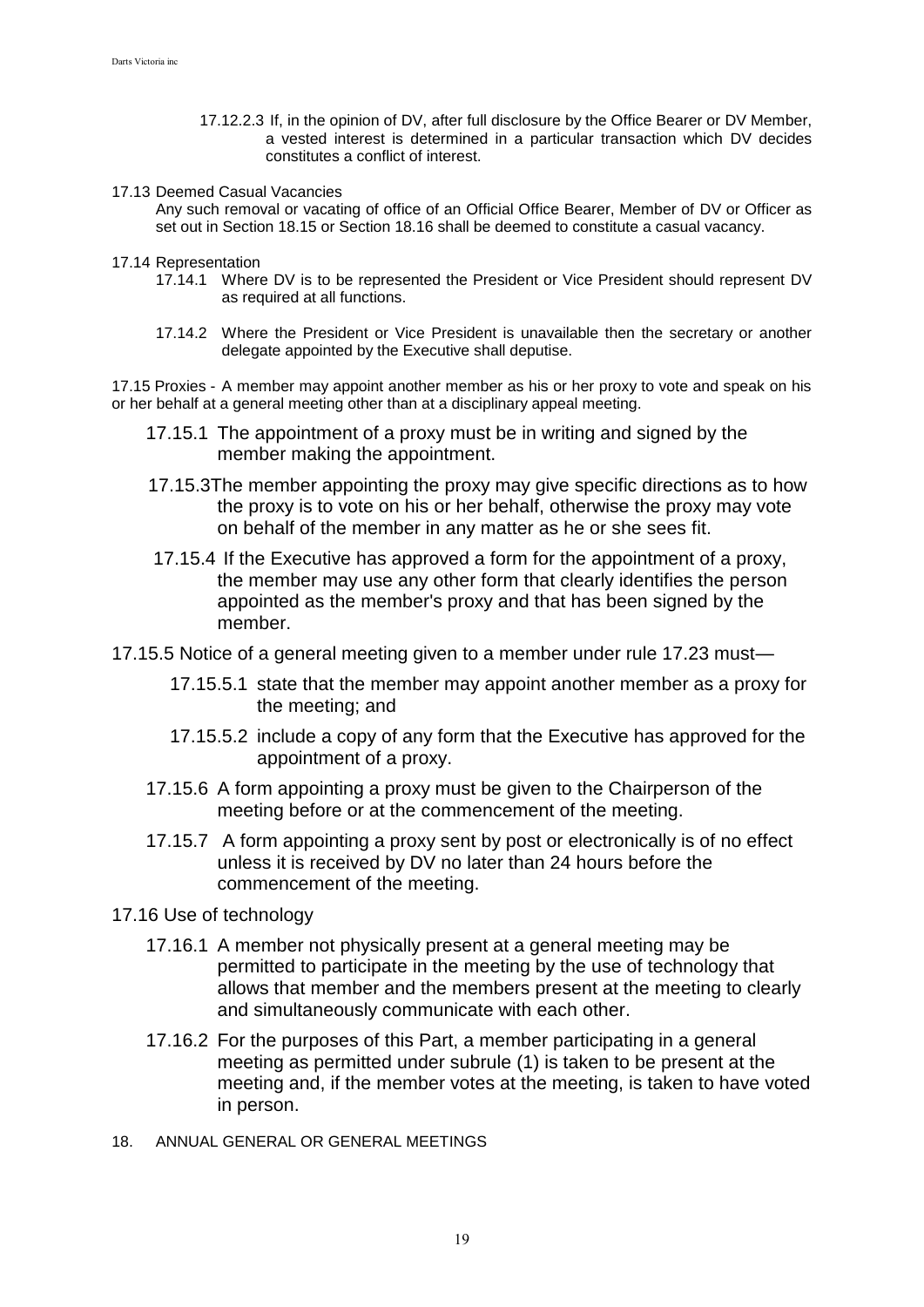- 17.12.2.3 If, in the opinion of DV, after full disclosure by the Office Bearer or DV Member, a vested interest is determined in a particular transaction which DV decides constitutes a conflict of interest.
- 17.13 Deemed Casual Vacancies

Any such removal or vacating of office of an Official Office Bearer, Member of DV or Officer as set out in Section 18.15 or Section 18.16 shall be deemed to constitute a casual vacancy.

17.14 Representation

- 17.14.1 Where DV is to be represented the President or Vice President should represent DV as required at all functions.
- 17.14.2 Where the President or Vice President is unavailable then the secretary or another delegate appointed by the Executive shall deputise.

17.15 Proxies - A member may appoint another member as his or her proxy to vote and speak on his or her behalf at a general meeting other than at a disciplinary appeal meeting.

- 17.15.1 The appointment of a proxy must be in writing and signed by the member making the appointment.
- 17.15.3The member appointing the proxy may give specific directions as to how the proxy is to vote on his or her behalf, otherwise the proxy may vote on behalf of the member in any matter as he or she sees fit.
- 17.15.4 If the Executive has approved a form for the appointment of a proxy, the member may use any other form that clearly identifies the person appointed as the member's proxy and that has been signed by the member.
- 17.15.5 Notice of a general meeting given to a member under rule 17.23 must—
	- 17.15.5.1 state that the member may appoint another member as a proxy for the meeting; and
	- 17.15.5.2 include a copy of any form that the Executive has approved for the appointment of a proxy.
	- 17.15.6 A form appointing a proxy must be given to the Chairperson of the meeting before or at the commencement of the meeting.
	- 17.15.7 A form appointing a proxy sent by post or electronically is of no effect unless it is received by DV no later than 24 hours before the commencement of the meeting.
- 17.16 Use of technology
	- 17.16.1 A member not physically present at a general meeting may be permitted to participate in the meeting by the use of technology that allows that member and the members present at the meeting to clearly and simultaneously communicate with each other.
	- 17.16.2 For the purposes of this Part, a member participating in a general meeting as permitted under subrule (1) is taken to be present at the meeting and, if the member votes at the meeting, is taken to have voted in person.
- 18. ANNUAL GENERAL OR GENERAL MEETINGS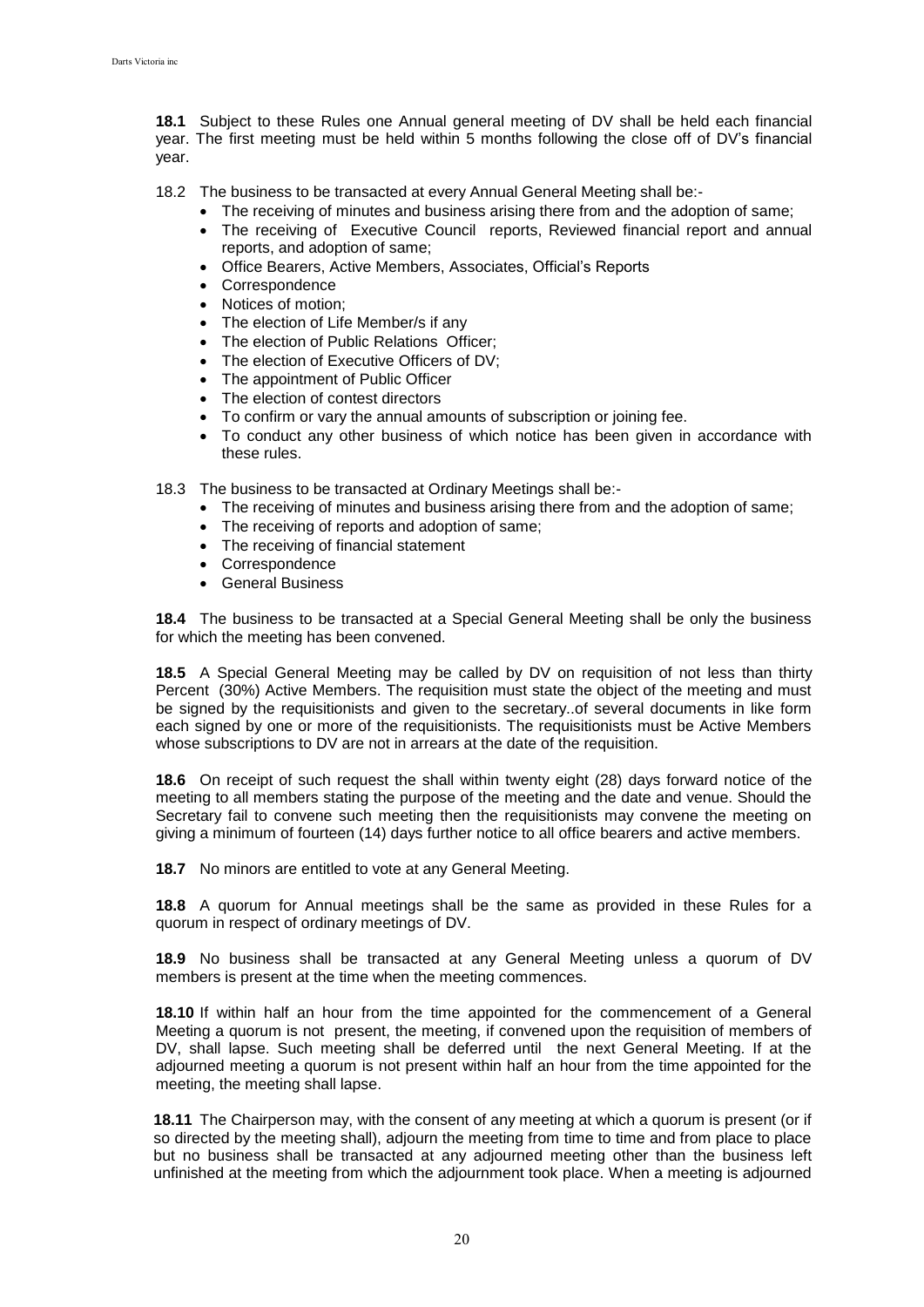**18.1** Subject to these Rules one Annual general meeting of DV shall be held each financial year. The first meeting must be held within 5 months following the close off of DV's financial year.

18.2 The business to be transacted at every Annual General Meeting shall be:-

- The receiving of minutes and business arising there from and the adoption of same;
- The receiving of Executive Council reports, Reviewed financial report and annual reports, and adoption of same;
- Office Bearers, Active Members, Associates, Official's Reports
- Correspondence
- Notices of motion:
- The election of Life Member/s if any
- The election of Public Relations Officer;
- The election of Executive Officers of DV:
- The appointment of Public Officer
- The election of contest directors
- To confirm or vary the annual amounts of subscription or joining fee.
- To conduct any other business of which notice has been given in accordance with these rules.

18.3 The business to be transacted at Ordinary Meetings shall be:-

- The receiving of minutes and business arising there from and the adoption of same;
- The receiving of reports and adoption of same;
- The receiving of financial statement
- Correspondence
- General Business

**18.4** The business to be transacted at a Special General Meeting shall be only the business for which the meeting has been convened.

**18.5** A Special General Meeting may be called by DV on requisition of not less than thirty Percent (30%) Active Members. The requisition must state the object of the meeting and must be signed by the requisitionists and given to the secretary..of several documents in like form each signed by one or more of the requisitionists. The requisitionists must be Active Members whose subscriptions to DV are not in arrears at the date of the requisition.

**18.6** On receipt of such request the shall within twenty eight (28) days forward notice of the meeting to all members stating the purpose of the meeting and the date and venue. Should the Secretary fail to convene such meeting then the requisitionists may convene the meeting on giving a minimum of fourteen (14) days further notice to all office bearers and active members.

**18.7** No minors are entitled to vote at any General Meeting.

**18.8** A quorum for Annual meetings shall be the same as provided in these Rules for a quorum in respect of ordinary meetings of DV.

**18.9** No business shall be transacted at any General Meeting unless a quorum of DV members is present at the time when the meeting commences.

**18.10** If within half an hour from the time appointed for the commencement of a General Meeting a quorum is not present, the meeting, if convened upon the requisition of members of DV, shall lapse. Such meeting shall be deferred until the next General Meeting. If at the adjourned meeting a quorum is not present within half an hour from the time appointed for the meeting, the meeting shall lapse.

**18.11** The Chairperson may, with the consent of any meeting at which a quorum is present (or if so directed by the meeting shall), adjourn the meeting from time to time and from place to place but no business shall be transacted at any adjourned meeting other than the business left unfinished at the meeting from which the adjournment took place. When a meeting is adjourned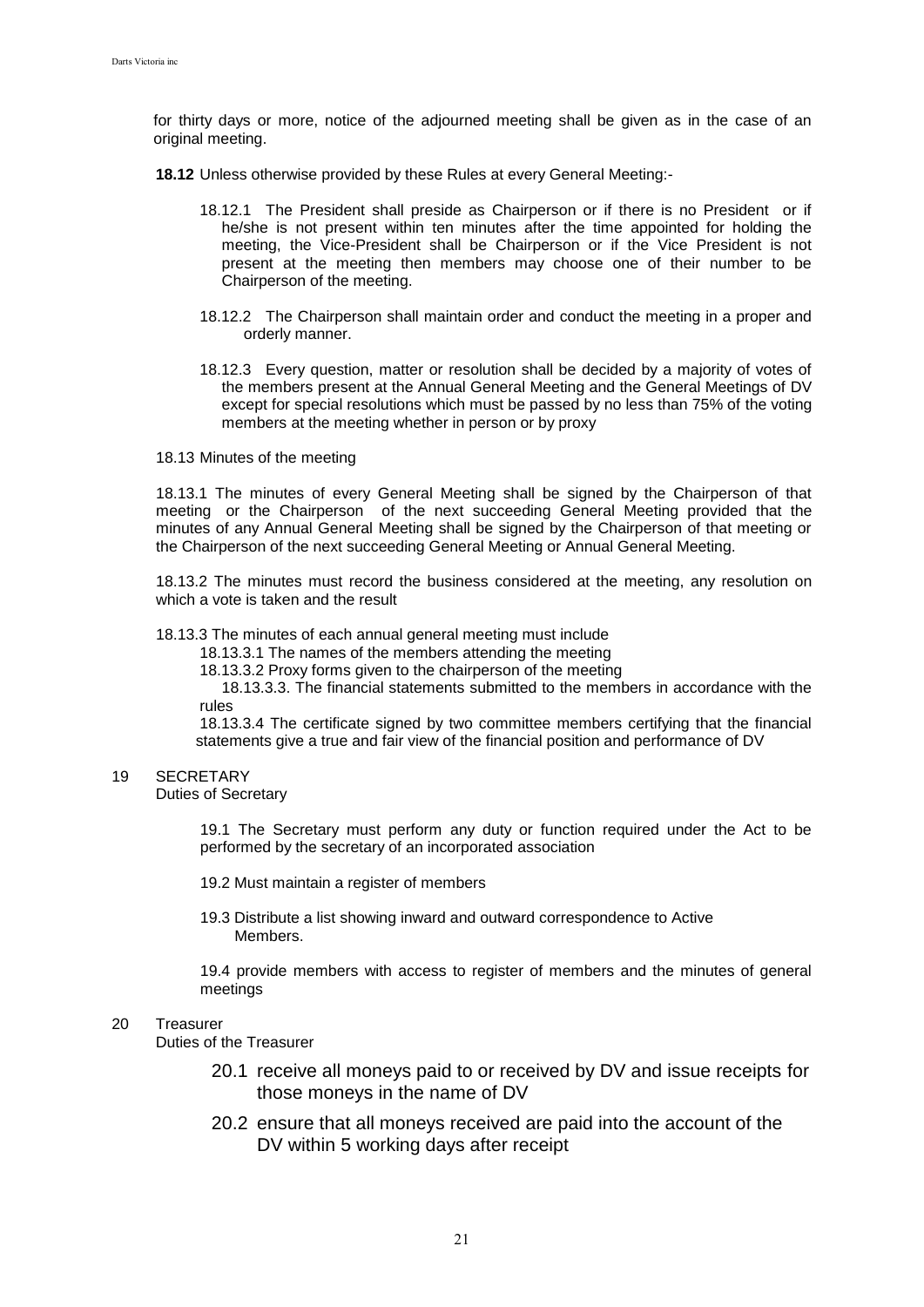for thirty days or more, notice of the adjourned meeting shall be given as in the case of an original meeting.

**18.12** Unless otherwise provided by these Rules at every General Meeting:-

- 18.12.1 The President shall preside as Chairperson or if there is no President or if he/she is not present within ten minutes after the time appointed for holding the meeting, the Vice-President shall be Chairperson or if the Vice President is not present at the meeting then members may choose one of their number to be Chairperson of the meeting.
- 18.12.2 The Chairperson shall maintain order and conduct the meeting in a proper and orderly manner.
- 18.12.3 Every question, matter or resolution shall be decided by a majority of votes of the members present at the Annual General Meeting and the General Meetings of DV except for special resolutions which must be passed by no less than 75% of the voting members at the meeting whether in person or by proxy
- 18.13 Minutes of the meeting

18.13.1 The minutes of every General Meeting shall be signed by the Chairperson of that meeting or the Chairperson of the next succeeding General Meeting provided that the minutes of any Annual General Meeting shall be signed by the Chairperson of that meeting or the Chairperson of the next succeeding General Meeting or Annual General Meeting.

18.13.2 The minutes must record the business considered at the meeting, any resolution on which a vote is taken and the result

### 18.13.3 The minutes of each annual general meeting must include

18.13.3.1 The names of the members attending the meeting

18.13.3.2 Proxy forms given to the chairperson of the meeting

18.13.3.3. The financial statements submitted to the members in accordance with the rules

18.13.3.4 The certificate signed by two committee members certifying that the financial statements give a true and fair view of the financial position and performance of DV

## 19 SECRETARY

Duties of Secretary

19.1 The Secretary must perform any duty or function required under the Act to be performed by the secretary of an incorporated association

19.2 Must maintain a register of members

19.3 Distribute a list showing inward and outward correspondence to Active Members.

19.4 provide members with access to register of members and the minutes of general meetings

### 20 Treasurer

Duties of the Treasurer

- 20.1 receive all moneys paid to or received by DV and issue receipts for those moneys in the name of DV
- 20.2 ensure that all moneys received are paid into the account of the DV within 5 working days after receipt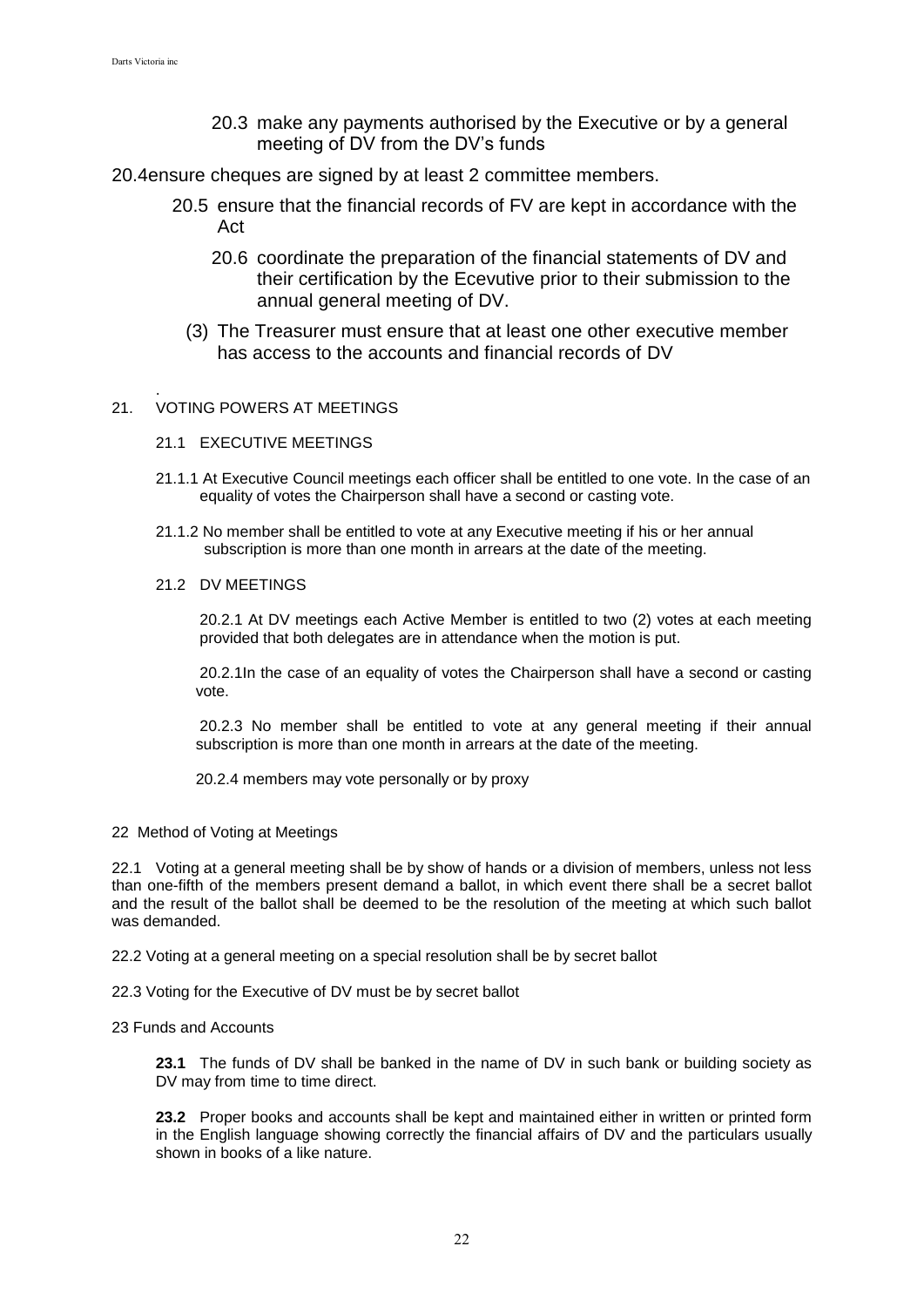- 20.3 make any payments authorised by the Executive or by a general meeting of DV from the DV's funds
- 20.4ensure cheques are signed by at least 2 committee members.
	- 20.5 ensure that the financial records of FV are kept in accordance with the Act
		- 20.6 coordinate the preparation of the financial statements of DV and their certification by the Ecevutive prior to their submission to the annual general meeting of DV.
		- (3) The Treasurer must ensure that at least one other executive member has access to the accounts and financial records of DV

#### . 21. VOTING POWERS AT MEETINGS

- 21.1 EXECUTIVE MEETINGS
- 21.1.1 At Executive Council meetings each officer shall be entitled to one vote. In the case of an equality of votes the Chairperson shall have a second or casting vote.
- 21.1.2 No member shall be entitled to vote at any Executive meeting if his or her annual subscription is more than one month in arrears at the date of the meeting.

## 21.2 DV MEETINGS

20.2.1 At DV meetings each Active Member is entitled to two (2) votes at each meeting provided that both delegates are in attendance when the motion is put.

20.2.1In the case of an equality of votes the Chairperson shall have a second or casting vote.

20.2.3 No member shall be entitled to vote at any general meeting if their annual subscription is more than one month in arrears at the date of the meeting.

20.2.4 members may vote personally or by proxy

22 Method of Voting at Meetings

22.1 Voting at a general meeting shall be by show of hands or a division of members, unless not less than one-fifth of the members present demand a ballot, in which event there shall be a secret ballot and the result of the ballot shall be deemed to be the resolution of the meeting at which such ballot was demanded.

22.2 Voting at a general meeting on a special resolution shall be by secret ballot

22.3 Voting for the Executive of DV must be by secret ballot

## 23 Funds and Accounts

**23.1** The funds of DV shall be banked in the name of DV in such bank or building society as DV may from time to time direct.

**23.2** Proper books and accounts shall be kept and maintained either in written or printed form in the English language showing correctly the financial affairs of DV and the particulars usually shown in books of a like nature.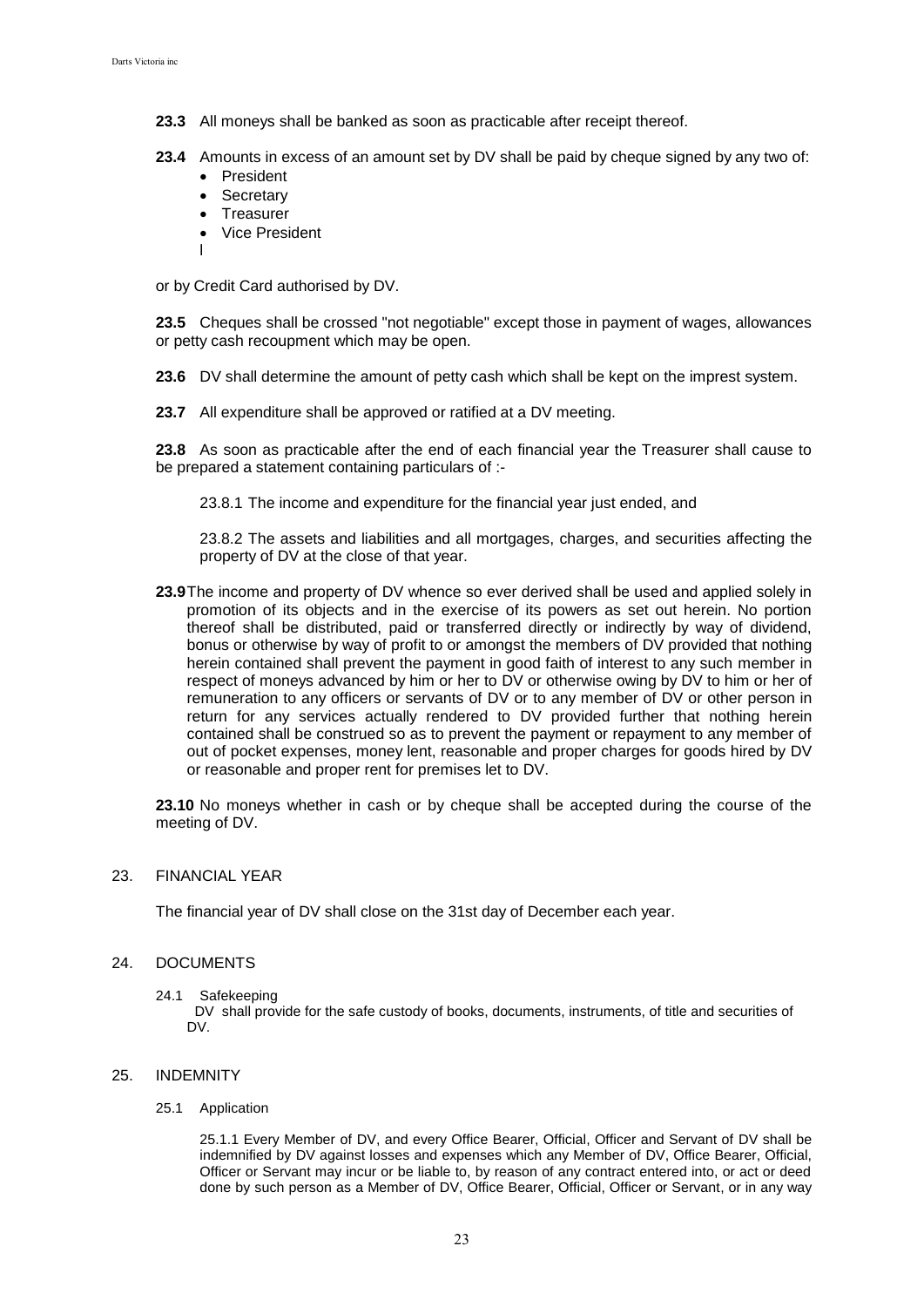- **23.3** All moneys shall be banked as soon as practicable after receipt thereof.
- **23.4** Amounts in excess of an amount set by DV shall be paid by cheque signed by any two of:
	- President
	- Secretary
	- Treasurer
	- Vice President
	- l

or by Credit Card authorised by DV.

**23.5** Cheques shall be crossed "not negotiable" except those in payment of wages, allowances or petty cash recoupment which may be open.

- **23.6** DV shall determine the amount of petty cash which shall be kept on the imprest system.
- **23.7** All expenditure shall be approved or ratified at a DV meeting.

**23.8** As soon as practicable after the end of each financial year the Treasurer shall cause to be prepared a statement containing particulars of :-

23.8.1 The income and expenditure for the financial year just ended, and

23.8.2 The assets and liabilities and all mortgages, charges, and securities affecting the property of DV at the close of that year.

**23.9**The income and property of DV whence so ever derived shall be used and applied solely in promotion of its objects and in the exercise of its powers as set out herein. No portion thereof shall be distributed, paid or transferred directly or indirectly by way of dividend, bonus or otherwise by way of profit to or amongst the members of DV provided that nothing herein contained shall prevent the payment in good faith of interest to any such member in respect of moneys advanced by him or her to DV or otherwise owing by DV to him or her of remuneration to any officers or servants of DV or to any member of DV or other person in return for any services actually rendered to DV provided further that nothing herein contained shall be construed so as to prevent the payment or repayment to any member of out of pocket expenses, money lent, reasonable and proper charges for goods hired by DV or reasonable and proper rent for premises let to DV.

**23.10** No moneys whether in cash or by cheque shall be accepted during the course of the meeting of DV.

23. FINANCIAL YEAR

The financial year of DV shall close on the 31st day of December each year.

### 24. DOCUMENTS

24.1 Safekeeping

 DV shall provide for the safe custody of books, documents, instruments, of title and securities of DV.

### 25. INDEMNITY

#### 25.1 Application

25.1.1 Every Member of DV, and every Office Bearer, Official, Officer and Servant of DV shall be indemnified by DV against losses and expenses which any Member of DV, Office Bearer, Official, Officer or Servant may incur or be liable to, by reason of any contract entered into, or act or deed done by such person as a Member of DV, Office Bearer, Official, Officer or Servant, or in any way